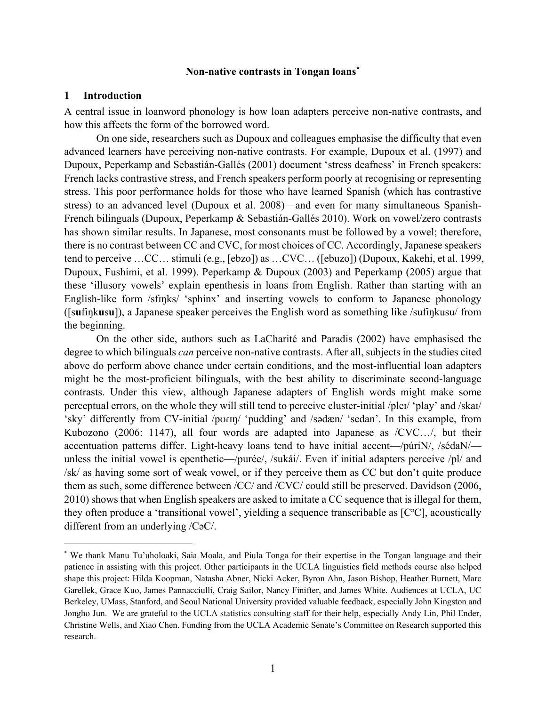#### **Non-native contrasts in Tongan loans\***

#### **1 Introduction**

 $\overline{a}$ 

A central issue in loanword phonology is how loan adapters perceive non-native contrasts, and how this affects the form of the borrowed word.

On one side, researchers such as Dupoux and colleagues emphasise the difficulty that even advanced learners have perceiving non-native contrasts. For example, Dupoux et al. (1997) and Dupoux, Peperkamp and Sebastián-Gallés (2001) document 'stress deafness' in French speakers: French lacks contrastive stress, and French speakers perform poorly at recognising or representing stress. This poor performance holds for those who have learned Spanish (which has contrastive stress) to an advanced level (Dupoux et al. 2008)—and even for many simultaneous Spanish-French bilinguals (Dupoux, Peperkamp & Sebastián-Gallés 2010). Work on vowel/zero contrasts has shown similar results. In Japanese, most consonants must be followed by a vowel; therefore, there is no contrast between CC and CVC, for most choices of CC. Accordingly, Japanese speakers tend to perceive …CC… stimuli (e.g., [ebzo]) as …CVC… ([ebuzo]) (Dupoux, Kakehi, et al. 1999, Dupoux, Fushimi, et al. 1999). Peperkamp & Dupoux (2003) and Peperkamp (2005) argue that these 'illusory vowels' explain epenthesis in loans from English. Rather than starting with an English-like form /sfinks/ 'sphinx' and inserting vowels to conform to Japanese phonology ([s**u**fiŋk**u**s**u**]), a Japanese speaker perceives the English word as something like /sufiŋkusu/ from the beginning.

On the other side, authors such as LaCharité and Paradis (2002) have emphasised the degree to which bilinguals *can* perceive non-native contrasts. After all, subjects in the studies cited above do perform above chance under certain conditions, and the most-influential loan adapters might be the most-proficient bilinguals, with the best ability to discriminate second-language contrasts. Under this view, although Japanese adapters of English words might make some perceptual errors, on the whole they will still tend to perceive cluster-initial /pleɪ/ 'play' and /skaɪ/ 'sky' differently from CV-initial /pʊɾɪŋ/ 'pudding' and /sədæn/ 'sedan'. In this example, from Kubozono (2006: 1147), all four words are adapted into Japanese as /CVC…/, but their accentuation patterns differ. Light-heavy loans tend to have initial accent—/púriN/, /sédaN/ unless the initial vowel is epenthetic—/purée/, /sukái/. Even if initial adapters perceive /pl/ and /sk/ as having some sort of weak vowel, or if they perceive them as CC but don't quite produce them as such, some difference between /CC/ and /CVC/ could still be preserved. Davidson (2006, 2010) shows that when English speakers are asked to imitate a CC sequence that is illegal for them, they often produce a 'transitional vowel', yielding a sequence transcribable as [C<sup>o</sup>C], acoustically different from an underlying /CəC/.

<sup>\*</sup> We thank Manu Tu'uholoaki, Saia Moala, and Piula Tonga for their expertise in the Tongan language and their patience in assisting with this project. Other participants in the UCLA linguistics field methods course also helped shape this project: Hilda Koopman, Natasha Abner, Nicki Acker, Byron Ahn, Jason Bishop, Heather Burnett, Marc Garellek, Grace Kuo, James Pannacciulli, Craig Sailor, Nancy Finifter, and James White. Audiences at UCLA, UC Berkeley, UMass, Stanford, and Seoul National University provided valuable feedback, especially John Kingston and Jongho Jun. We are grateful to the UCLA statistics consulting staff for their help, especially Andy Lin, Phil Ender, Christine Wells, and Xiao Chen. Funding from the UCLA Academic Senate's Committee on Research supported this research.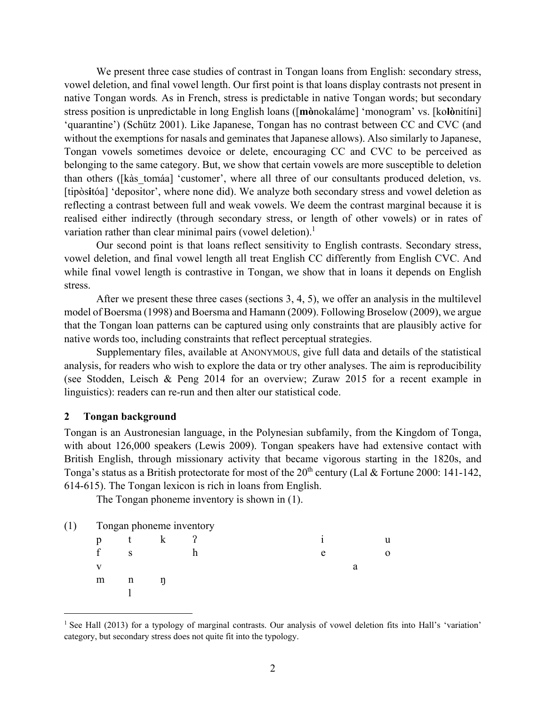We present three case studies of contrast in Tongan loans from English: secondary stress, vowel deletion, and final vowel length. Our first point is that loans display contrasts not present in native Tongan words*.* As in French, stress is predictable in native Tongan words; but secondary stress position is unpredictable in long English loans ([**mò**nokaláme] 'monogram' vs. [ko**lò**nitíni] 'quarantine') (Schütz 2001). Like Japanese, Tongan has no contrast between CC and CVC (and without the exemptions for nasals and geminates that Japanese allows). Also similarly to Japanese, Tongan vowels sometimes devoice or delete, encouraging CC and CVC to be perceived as belonging to the same category. But, we show that certain vowels are more susceptible to deletion than others ([kàs\_tomáa] 'customer', where all three of our consultants produced deletion, vs. [tipòs**i**tóa] 'depositor', where none did). We analyze both secondary stress and vowel deletion as reflecting a contrast between full and weak vowels. We deem the contrast marginal because it is realised either indirectly (through secondary stress, or length of other vowels) or in rates of variation rather than clear minimal pairs (vowel deletion).<sup>1</sup>

Our second point is that loans reflect sensitivity to English contrasts. Secondary stress, vowel deletion, and final vowel length all treat English CC differently from English CVC. And while final vowel length is contrastive in Tongan, we show that in loans it depends on English stress.

After we present these three cases (sections 3, 4, 5), we offer an analysis in the multilevel model of Boersma (1998) and Boersma and Hamann (2009). Following Broselow (2009), we argue that the Tongan loan patterns can be captured using only constraints that are plausibly active for native words too, including constraints that reflect perceptual strategies.

Supplementary files, available at ANONYMOUS, give full data and details of the statistical analysis, for readers who wish to explore the data or try other analyses. The aim is reproducibility (see Stodden, Leisch & Peng 2014 for an overview; Zuraw 2015 for a recent example in linguistics): readers can re-run and then alter our statistical code.

#### **2 Tongan background**

 $\overline{a}$ 

Tongan is an Austronesian language, in the Polynesian subfamily, from the Kingdom of Tonga, with about 126,000 speakers (Lewis 2009). Tongan speakers have had extensive contact with British English, through missionary activity that became vigorous starting in the 1820s, and Tonga's status as a British protectorate for most of the  $20^{th}$  century (Lal & Fortune 2000: 141-142, 614-615). The Tongan lexicon is rich in loans from English.

The Tongan phoneme inventory is shown in (1).

| (1) |   |   | Tongan phoneme inventory |   |   |  |
|-----|---|---|--------------------------|---|---|--|
|     | D |   |                          |   |   |  |
|     |   | c |                          | e |   |  |
|     |   |   |                          |   | a |  |
|     | m |   |                          |   |   |  |
|     |   |   |                          |   |   |  |

<sup>&</sup>lt;sup>1</sup> See Hall (2013) for a typology of marginal contrasts. Our analysis of vowel deletion fits into Hall's 'variation' category, but secondary stress does not quite fit into the typology.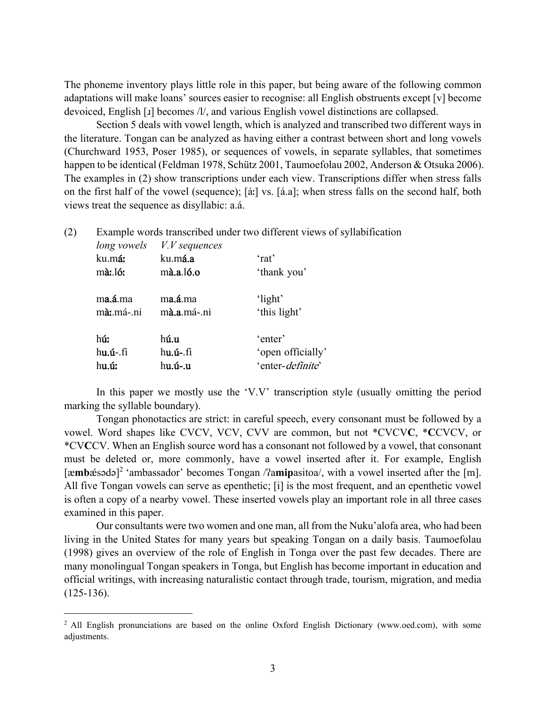The phoneme inventory plays little role in this paper, but being aware of the following common adaptations will make loans' sources easier to recognise: all English obstruents except [v] become devoiced, English [ɹ] becomes /l/, and various English vowel distinctions are collapsed.

 Section 5 deals with vowel length, which is analyzed and transcribed two different ways in the literature. Tongan can be analyzed as having either a contrast between short and long vowels (Churchward 1953, Poser 1985), or sequences of vowels, in separate syllables, that sometimes happen to be identical (Feldman 1978, Schütz 2001, Taumoefolau 2002, Anderson & Otsuka 2006). The examples in (2) show transcriptions under each view. Transcriptions differ when stress falls on the first half of the vowel (sequence); [áː] vs. [á.a]; when stress falls on the second half, both views treat the sequence as disyllabic: a.á.

(2) Example words transcribed under two different views of syllabification

| long vowels | V. V. sequence    |                           |
|-------------|-------------------|---------------------------|
| ku.má:      | ku.má.a           | 'rat'                     |
| mà: ló:     | $m\$ a.l6.o       | 'thank you'               |
| ma.á.ma     | ma.á.ma           | 'light'                   |
| mà: má-.ni  | mà.a.má .ni       | 'this light'              |
| hú:         | h <b>ú.u</b>      | 'enter'                   |
| hu.u.fi     | h <b>u.ú-</b> .fi | 'open officially'         |
| hu.ú:       | hu.ú-.u           | 'enter- <i>definite</i> ' |

 $\overline{a}$ 

In this paper we mostly use the 'V.V' transcription style (usually omitting the period marking the syllable boundary).

 Tongan phonotactics are strict: in careful speech, every consonant must be followed by a vowel. Word shapes like CVCV, VCV, CVV are common, but not \*CVCV**C**, \***C**CVCV, or \*CV**C**CV. When an English source word has a consonant not followed by a vowel, that consonant must be deleted or, more commonly, have a vowel inserted after it. For example, English [æ**mb**ǽsədə] 2 'ambassador' becomes Tongan /ʔa**mip**asitoa/, with a vowel inserted after the [m]. All five Tongan vowels can serve as epenthetic; [i] is the most frequent, and an epenthetic vowel is often a copy of a nearby vowel. These inserted vowels play an important role in all three cases examined in this paper.

 Our consultants were two women and one man, all from the Nuku'alofa area, who had been living in the United States for many years but speaking Tongan on a daily basis. Taumoefolau (1998) gives an overview of the role of English in Tonga over the past few decades. There are many monolingual Tongan speakers in Tonga, but English has become important in education and official writings, with increasing naturalistic contact through trade, tourism, migration, and media (125-136).

<sup>2</sup> All English pronunciations are based on the online Oxford English Dictionary (www.oed.com), with some adjustments.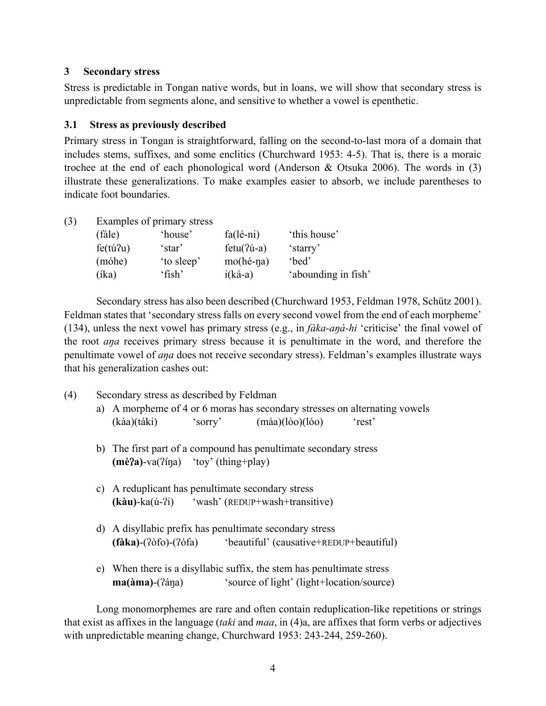## **3 Secondary stress**

Stress is predictable in Tongan native words, but in loans, we will show that secondary stress is unpredictable from segments alone, and sensitive to whether a vowel is epenthetic.

### **3.1 Stress as previously described**

Primary stress in Tongan is straightforward, falling on the second-to-last mora of a domain that includes stems, suffixes, and some enclitics (Churchward 1953: 4-5). That is, there is a moraic trochee at the end of each phonological word (Anderson & Otsuka 2006). The words in (3) illustrate these generalizations. To make examples easier to absorb, we include parentheses to indicate foot boundaries.

| (3) | Examples of primary stress |            |                     |                     |  |  |  |
|-----|----------------------------|------------|---------------------|---------------------|--|--|--|
|     | (fále)                     | 'house'    | $fa(l\acute{e}-ni)$ | 'this house'        |  |  |  |
|     | $fe(tu^2u)$                | 'star'     | $fctu(2u-a)$        | 'starry'            |  |  |  |
|     | (móhe)                     | 'to sleep' | $mo(hé-na)$         | 'bed'               |  |  |  |
|     | (íka)                      | 'fish'     | $i(k\acute{a}-a)$   | 'abounding in fish' |  |  |  |

 Secondary stress has also been described (Churchward 1953, Feldman 1978, Schütz 2001). Feldman states that 'secondary stress falls on every second vowel from the end of each morpheme' (134), unless the next vowel has primary stress (e.g., in *fàka-aŋá-hi* 'criticise' the final vowel of the root *aŋa* receives primary stress because it is penultimate in the word, and therefore the penultimate vowel of *aŋa* does not receive secondary stress). Feldman's examples illustrate ways that his generalization cashes out:

- (4) Secondary stress as described by Feldman
	- a) A morpheme of 4 or 6 moras has secondary stresses on alternating vowels (kàa)(táki) 'sorry' (màa)(lòo)(lóo) 'rest'
	- b) The first part of a compound has penultimate secondary stress **(mè**ʔ**a)**-va(ʔíŋa) 'toy' (thing+play)
	- c) A reduplicant has penultimate secondary stress **(kàu)**-ka(ú-ʔi) 'wash' (REDUP+wash+transitive)
	- d) A disyllabic prefix has penultimate secondary stress **(fàka)**-(ʔòfo)-(ʔófa) 'beautiful' (causative+REDUP+beautiful)
	- e) When there is a disyllabic suffix, the stem has penultimate stress **ma(àma)**-( $\hat{i}$ ana) 'source of light' (light+location/source)

Long monomorphemes are rare and often contain reduplication-like repetitions or strings that exist as affixes in the language (*taki* and *maa*, in (4)a, are affixes that form verbs or adjectives with unpredictable meaning change, Churchward 1953: 243-244, 259-260).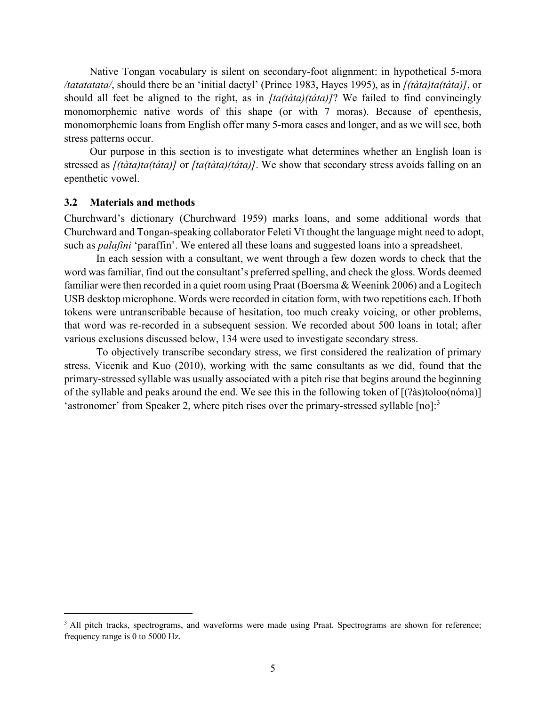Native Tongan vocabulary is silent on secondary-foot alignment: in hypothetical 5-mora */tatatatata/*, should there be an 'initial dactyl' (Prince 1983, Hayes 1995), as in *[(tàta)ta(táta)]*, or should all feet be aligned to the right, as in *[ta(tàta)(táta)]*? We failed to find convincingly monomorphemic native words of this shape (or with 7 moras). Because of epenthesis, monomorphemic loans from English offer many 5-mora cases and longer, and as we will see, both stress patterns occur.

Our purpose in this section is to investigate what determines whether an English loan is stressed as *[(tàta)ta(táta)]* or *[ta(tàta)(táta)]*. We show that secondary stress avoids falling on an epenthetic vowel.

#### **3.2 Materials and methods**

1

Churchward's dictionary (Churchward 1959) marks loans, and some additional words that Churchward and Tongan-speaking collaborator Feleti Vī thought the language might need to adopt, such as *palafini* 'paraffin'. We entered all these loans and suggested loans into a spreadsheet.

 In each session with a consultant, we went through a few dozen words to check that the word was familiar, find out the consultant's preferred spelling, and check the gloss. Words deemed familiar were then recorded in a quiet room using Praat (Boersma & Weenink 2006) and a Logitech USB desktop microphone. Words were recorded in citation form, with two repetitions each. If both tokens were untranscribable because of hesitation, too much creaky voicing, or other problems, that word was re-recorded in a subsequent session. We recorded about 500 loans in total; after various exclusions discussed below, 134 were used to investigate secondary stress.

 To objectively transcribe secondary stress, we first considered the realization of primary stress. Vicenik and Kuo (2010), working with the same consultants as we did, found that the primary-stressed syllable was usually associated with a pitch rise that begins around the beginning of the syllable and peaks around the end. We see this in the following token of [(ʔàs)toloo(nóma)] 'astronomer' from Speaker 2, where pitch rises over the primary-stressed syllable [no]:<sup>3</sup>

<sup>&</sup>lt;sup>3</sup> All pitch tracks, spectrograms, and waveforms were made using Praat. Spectrograms are shown for reference; frequency range is 0 to 5000 Hz.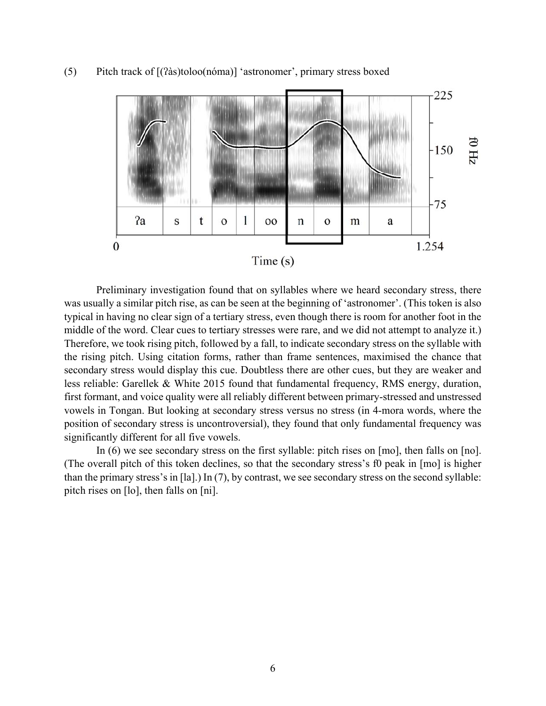

(5) Pitch track of [(ʔàs)toloo(nóma)] 'astronomer', primary stress boxed

 Preliminary investigation found that on syllables where we heard secondary stress, there was usually a similar pitch rise, as can be seen at the beginning of 'astronomer'. (This token is also typical in having no clear sign of a tertiary stress, even though there is room for another foot in the middle of the word. Clear cues to tertiary stresses were rare, and we did not attempt to analyze it.) Therefore, we took rising pitch, followed by a fall, to indicate secondary stress on the syllable with the rising pitch. Using citation forms, rather than frame sentences, maximised the chance that secondary stress would display this cue. Doubtless there are other cues, but they are weaker and less reliable: Garellek & White 2015 found that fundamental frequency, RMS energy, duration, first formant, and voice quality were all reliably different between primary-stressed and unstressed vowels in Tongan. But looking at secondary stress versus no stress (in 4-mora words, where the position of secondary stress is uncontroversial), they found that only fundamental frequency was significantly different for all five vowels.

 In (6) we see secondary stress on the first syllable: pitch rises on [mo], then falls on [no]. (The overall pitch of this token declines, so that the secondary stress's f0 peak in [mo] is higher than the primary stress's in [la].) In (7), by contrast, we see secondary stress on the second syllable: pitch rises on [lo], then falls on [ni].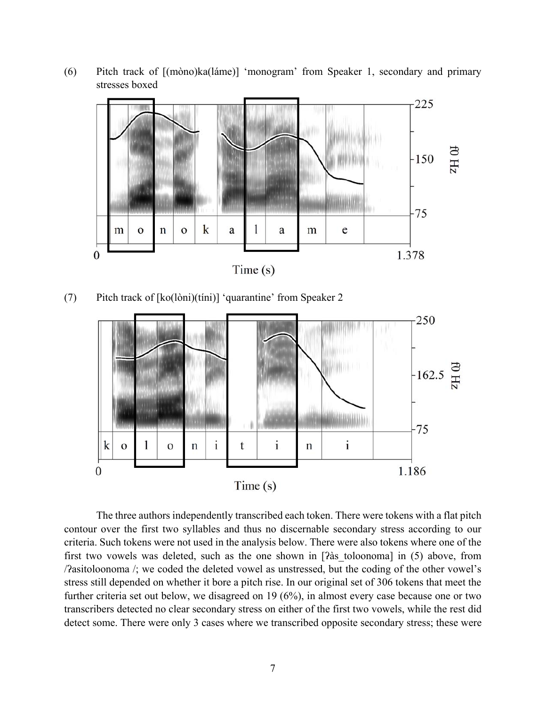

(6) Pitch track of [(mòno)ka(láme)] 'monogram' from Speaker 1, secondary and primary stresses boxed

(7) Pitch track of [ko(lòni)(tíni)] 'quarantine' from Speaker 2



The three authors independently transcribed each token. There were tokens with a flat pitch contour over the first two syllables and thus no discernable secondary stress according to our criteria. Such tokens were not used in the analysis below. There were also tokens where one of the first two vowels was deleted, such as the one shown in [ʔàs\_toloonoma] in (5) above, from /ʔasitoloonoma /; we coded the deleted vowel as unstressed, but the coding of the other vowel's stress still depended on whether it bore a pitch rise. In our original set of 306 tokens that meet the further criteria set out below, we disagreed on 19 (6%), in almost every case because one or two transcribers detected no clear secondary stress on either of the first two vowels, while the rest did detect some. There were only 3 cases where we transcribed opposite secondary stress; these were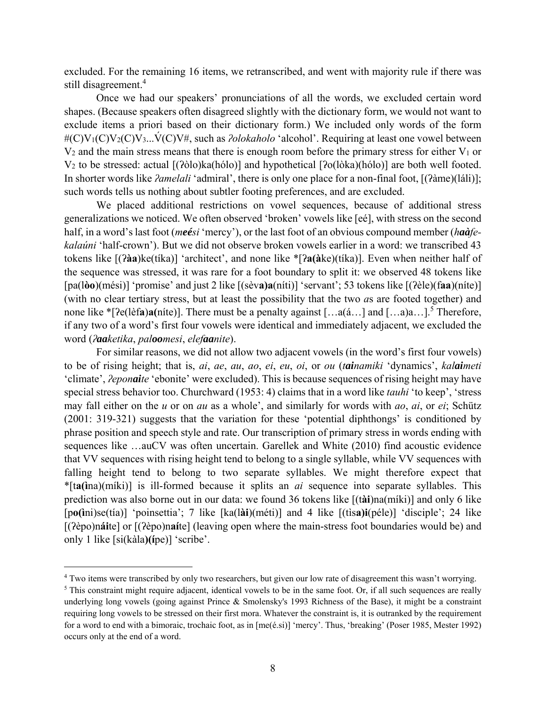excluded. For the remaining 16 items, we retranscribed, and went with majority rule if there was still disagreement.<sup>4</sup>

Once we had our speakers' pronunciations of all the words, we excluded certain word shapes. (Because speakers often disagreed slightly with the dictionary form, we would not want to exclude items a priori based on their dictionary form.) We included only words of the form #(C)V<sub>1</sub>(C)V<sub>2</sub>(C)V<sub>3</sub>...V<sup>\*</sup>(C)V<sup>#</sup>, such as *<i><i>\olokaholo* 'alcohol'. Requiring at least one vowel between  $V_2$  and the main stress means that there is enough room before the primary stress for either  $V_1$  or V2 to be stressed: actual [(ʔòlo)ka(hólo)] and hypothetical [ʔo(lòka)(hólo)] are both well footed. In shorter words like *<i>ʔamelali* 'admiral', there is only one place for a non-final foot, [(ʔàme)(láli)]; such words tells us nothing about subtler footing preferences, and are excluded.

We placed additional restrictions on vowel sequences, because of additional stress generalizations we noticed. We often observed 'broken' vowels like [eé], with stress on the second half, in a word's last foot (*meési* 'mercy'), or the last foot of an obvious compound member (*haàfekalaúni* 'half-crown'). But we did not observe broken vowels earlier in a word: we transcribed 43 tokens like [(ʔ**àa**)ke(tíka)] 'architect', and none like \*[ʔ**a(à**ke)(tíka)]. Even when neither half of the sequence was stressed, it was rare for a foot boundary to split it: we observed 48 tokens like [pa(l**òo**)(mési)] 'promise' and just 2 like [(sèv**a)a**(níti)] 'servant'; 53 tokens like [(ʔèle)(f**aa**)(níte)] (with no clear tertiary stress, but at least the possibility that the two *a*s are footed together) and none like \*[ $\text{Pe}(\text{left})a(\text{nite})$ ]. There must be a penalty against [...a( $\hat{a}$ ...] and [...a) $a$ ...]<sup>5</sup> Therefore, if any two of a word's first four vowels were identical and immediately adjacent, we excluded the word (*ʔaaketika*, *paloomesi*, *elefaanite*).

For similar reasons, we did not allow two adjacent vowels (in the word's first four vowels) to be of rising height; that is, *ai*, *ae*, *au*, *ao*, *ei*, *eu*, *oi*, or *ou* (*tainamiki* 'dynamics', *kalaimeti* 'climate', *ʔeponaite* 'ebonite' were excluded). This is because sequences of rising height may have special stress behavior too. Churchward (1953: 4) claims that in a word like *tauhi* 'to keep', 'stress may fall either on the *u* or on *au* as a whole', and similarly for words with *ao*, *ai*, or *ei*; Schütz (2001: 319-321) suggests that the variation for these 'potential diphthongs' is conditioned by phrase position and speech style and rate. Our transcription of primary stress in words ending with sequences like …auCV was often uncertain. Garellek and White (2010) find acoustic evidence that VV sequences with rising height tend to belong to a single syllable, while VV sequences with falling height tend to belong to two separate syllables. We might therefore expect that \*[t**a(ì**na)(míki)] is ill-formed because it splits an *ai* sequence into separate syllables. This prediction was also borne out in our data: we found 36 tokens like [(t**ài**)na(míki)] and only 6 like [p**o(ì**ni)se(tía)] 'poinsettia'; 7 like [ka(l**ài**)(méti)] and 4 like [(tìs**a)i**(péle)] 'disciple'; 24 like [(ʔèpo)n**ái**te] or [(ʔèpo)n**aí**te] (leaving open where the main-stress foot boundaries would be) and only 1 like [si(kàla**)(í**pe)] 'scribe'.

 $\overline{a}$ 

<sup>4</sup> Two items were transcribed by only two researchers, but given our low rate of disagreement this wasn't worrying.

 $<sup>5</sup>$  This constraint might require adjacent, identical vowels to be in the same foot. Or, if all such sequences are really</sup> underlying long vowels (going against Prince & Smolensky's 1993 Richness of the Base), it might be a constraint requiring long vowels to be stressed on their first mora. Whatever the constraint is, it is outranked by the requirement for a word to end with a bimoraic, trochaic foot, as in [me(é.si)] 'mercy'. Thus, 'breaking' (Poser 1985, Mester 1992) occurs only at the end of a word.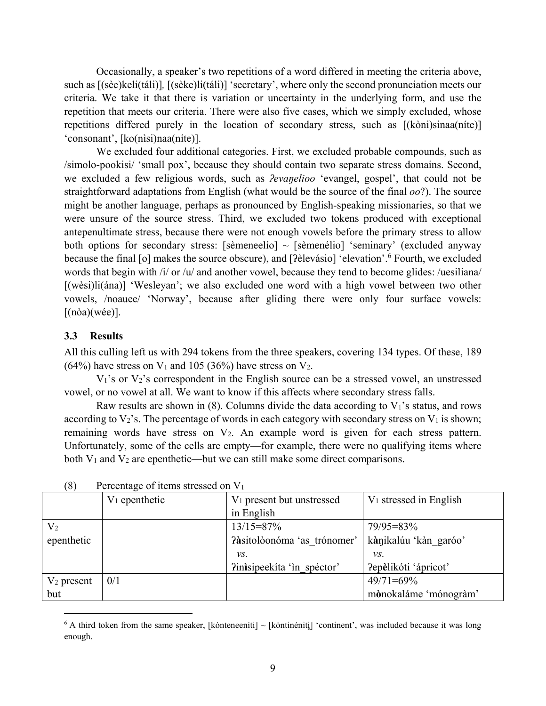Occasionally, a speaker's two repetitions of a word differed in meeting the criteria above, such as [(sèe)keli(táli)]*,* [(sèke)li(táli)] 'secretary', where only the second pronunciation meets our criteria. We take it that there is variation or uncertainty in the underlying form, and use the repetition that meets our criteria. There were also five cases, which we simply excluded, whose repetitions differed purely in the location of secondary stress, such as [(kòni)sinaa(níte)] 'consonant', [ko(nìsi)naa(níte)].

 We excluded four additional categories. First, we excluded probable compounds, such as /simolo-pookisi/ 'small pox', because they should contain two separate stress domains. Second, we excluded a few religious words, such as *ʔevaŋelioo* 'evangel, gospel', that could not be straightforward adaptations from English (what would be the source of the final *oo*?). The source might be another language, perhaps as pronounced by English-speaking missionaries, so that we were unsure of the source stress. Third, we excluded two tokens produced with exceptional antepenultimate stress, because there were not enough vowels before the primary stress to allow both options for secondary stress: [sèmeneelío]  $\sim$  [sèmenélio] 'seminary' (excluded anyway because the final [o] makes the source obscure), and [ʔèlevásio] 'elevation'.<sup>6</sup> Fourth, we excluded words that begin with /i/ or /u/ and another vowel, because they tend to become glides: /uesiliana/ [(wèsi)li(ána)] 'Wesleyan'; we also excluded one word with a high vowel between two other vowels, /noauee/ 'Norway', because after gliding there were only four surface vowels:  $[(n\delta a)(w\acute{e}e)].$ 

#### **3.3 Results**

 $\overline{a}$ 

All this culling left us with 294 tokens from the three speakers, covering 134 types. Of these, 189  $(64\%)$  have stress on V<sub>1</sub> and 105 (36%) have stress on V<sub>2</sub>.

 $V_1$ 's or  $V_2$ 's correspondent in the English source can be a stressed vowel, an unstressed vowel, or no vowel at all. We want to know if this affects where secondary stress falls.

Raw results are shown in (8). Columns divide the data according to  $V_1$ 's status, and rows according to  $V_2$ 's. The percentage of words in each category with secondary stress on  $V_1$  is shown; remaining words have stress on V2. An example word is given for each stress pattern. Unfortunately, some of the cells are empty—for example, there were no qualifying items where both  $V_1$  and  $V_2$  are epenthetic—but we can still make some direct comparisons.

|                | $V_1$ epenthetic | $V_1$ present but unstressed | $V_1$ stressed in English |
|----------------|------------------|------------------------------|---------------------------|
|                |                  | in English                   |                           |
| V <sub>2</sub> |                  | $13/15 = 87\%$               | $79/95 = 83\%$            |
| epenthetic     |                  | ?àsitolòonóma 'as trónomer'  | kànikalúu 'kàn garóo'     |
|                |                  | VS.                          | VS.                       |
|                |                  | ?inisipeekíta 'in spéctor'   | ?epèlikóti 'ápricot'      |
| $V_2$ present  | 0/1              |                              | $49/71 = 69\%$            |
| but            |                  |                              | mònokaláme 'mónogràm'     |

(8) Percentage of items stressed on  $V_1$ 

 $6$  A third token from the same speaker, [kònteneeníti]  $\sim$  [kòntinéniti̯] 'continent', was included because it was long enough.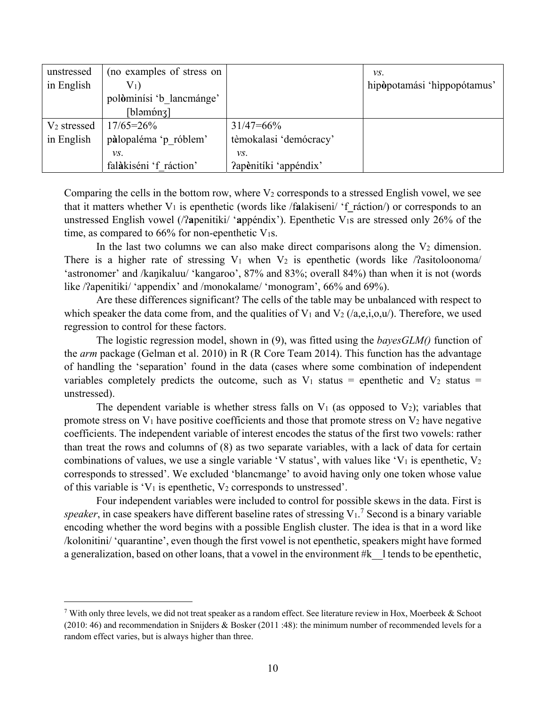| unstressed              | (no examples of stress on       |                        | $\mathcal{V}S$ .            |
|-------------------------|---------------------------------|------------------------|-----------------------------|
| in English              | $\mathrm{V}_1)$                 |                        | hipòpotamási 'hippopótamus' |
|                         | polòminísi 'b lancmánge'        |                        |                             |
|                         | $\lceil \text{bləm'onz} \rceil$ |                        |                             |
| V <sub>2</sub> stressed | $17/65 = 26\%$                  | $31/47 = 66\%$         |                             |
| in English              | pàlopaléma 'p róblem'           | tèmokalasi 'demócracy' |                             |
|                         | vs.                             | VS.                    |                             |
|                         | falàkiséni 'f ráction'          | ?apènitíki 'appéndix'  |                             |

Comparing the cells in the bottom row, where  $V_2$  corresponds to a stressed English vowel, we see that it matters whether V1 is epenthetic (words like /f**a**lakiseni/ 'f**\_**ráction/) or corresponds to an unstressed English vowel (/ʔ**a**penitiki/ '**a**ppéndix'). Epenthetic V1s are stressed only 26% of the time, as compared to  $66\%$  for non-epenthetic V<sub>1S</sub>.

In the last two columns we can also make direct comparisons along the  $V_2$  dimension. There is a higher rate of stressing  $V_1$  when  $V_2$  is epenthetic (words like / $\alpha$ asitoloonoma/ 'astronomer' and /kaŋikaluu/ 'kangaroo', 87% and 83%; overall 84%) than when it is not (words like /?apenitiki/ 'appendix' and /monokalame/ 'monogram', 66% and 69%).

 Are these differences significant? The cells of the table may be unbalanced with respect to which speaker the data come from, and the qualities of  $V_1$  and  $V_2$  (/a,e,i,o,u/). Therefore, we used regression to control for these factors.

 The logistic regression model, shown in (9), was fitted using the *bayesGLM()* function of the *arm* package (Gelman et al. 2010) in R (R Core Team 2014). This function has the advantage of handling the 'separation' found in the data (cases where some combination of independent variables completely predicts the outcome, such as  $V_1$  status = epenthetic and  $V_2$  status = unstressed).

The dependent variable is whether stress falls on  $V_1$  (as opposed to  $V_2$ ); variables that promote stress on  $V_1$  have positive coefficients and those that promote stress on  $V_2$  have negative coefficients. The independent variable of interest encodes the status of the first two vowels: rather than treat the rows and columns of (8) as two separate variables, with a lack of data for certain combinations of values, we use a single variable 'V status', with values like 'V<sub>1</sub> is epenthetic, V<sub>2</sub> corresponds to stressed'. We excluded 'blancmange' to avoid having only one token whose value of this variable is 'V<sub>1</sub> is epenthetic, V<sub>2</sub> corresponds to unstressed'.

 Four independent variables were included to control for possible skews in the data. First is speaker, in case speakers have different baseline rates of stressing  $V_1$ .<sup>7</sup> Second is a binary variable encoding whether the word begins with a possible English cluster. The idea is that in a word like /kolonitini/ 'quarantine', even though the first vowel is not epenthetic, speakers might have formed a generalization, based on other loans, that a vowel in the environment #k\_l tends to be epenthetic,

 $\overline{a}$ 

With only three levels, we did not treat speaker as a random effect. See literature review in Hox, Moerbeek & Schoot (2010: 46) and recommendation in Snijders & Bosker (2011 :48): the minimum number of recommended levels for a random effect varies, but is always higher than three.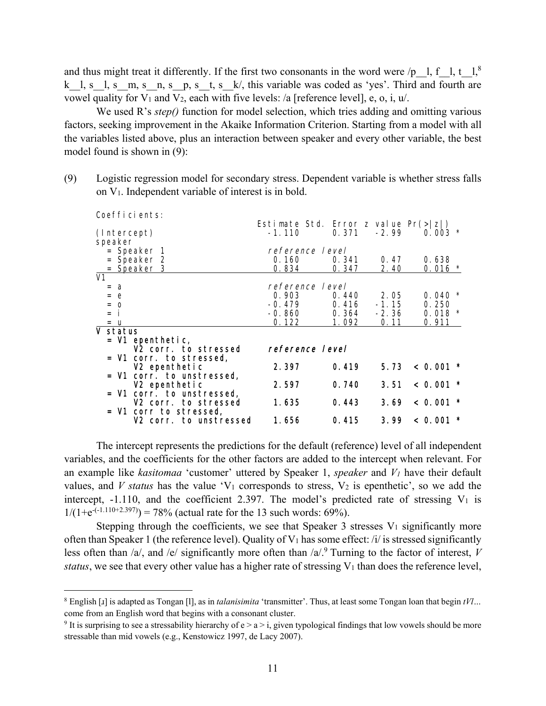and thus might treat it differently. If the first two consonants in the word were /p\_l, f\_l, t\_l,<sup>8</sup> k  $l, s$   $l, s$   $m, s$   $n, s$   $p, s$   $t, s$   $k/$ , this variable was coded as 'yes'. Third and fourth are vowel quality for  $V_1$  and  $V_2$ , each with five levels: /a [reference level], e, o, i, u/.

We used R's *step()* function for model selection, which tries adding and omitting various factors, seeking improvement in the Akaike Information Criterion. Starting from a model with all the variables listed above, plus an interaction between speaker and every other variable, the best model found is shown in (9):

(9) Logistic regression model for secondary stress. Dependent variable is whether stress falls on V1. Independent variable of interest is in bold.

| Coefficients:             |                                        |       |         |                         |
|---------------------------|----------------------------------------|-------|---------|-------------------------|
|                           | Estimate Std. Error z value $Pr(> z )$ |       |         |                         |
| (Intercept)               | $-1.110$                               | 0.371 | $-2.99$ | $0.003$ *               |
| speaker                   |                                        |       |         |                         |
| = Speaker 1               | reference level                        |       |         |                         |
| = Speaker 2               | 0.160                                  | 0.341 | 0.47    | 0.638                   |
| = Speaker 3               | 0.834                                  | 0.347 | 2.40    | $0.016$ *               |
| V1                        |                                        |       |         |                         |
| $= a$                     | reference level                        |       |         |                         |
| $= e$                     | 0.903                                  | 0.440 | 2.05    | 0.040                   |
| $=$ $\Omega$              | $-0.479$                               | 0.416 | $-1.15$ | 0.250                   |
| = i                       | $-0.860$                               | 0.364 | $-2.36$ | $0.018$ *               |
| $=$ u                     | 0.122                                  | 1.092 | 0.11    | 0.911                   |
| V status                  |                                        |       |         |                         |
| = V1 epenthetic,          |                                        |       |         |                         |
| V2 corr. to stressed      | reference level                        |       |         |                         |
| = V1 corr. to stressed,   |                                        |       |         |                         |
| V <sub>2</sub> epenthetic | 2.397                                  | 0.419 | 5.73    | < 0.001                 |
| = V1 corr. to unstressed, |                                        |       |         |                         |
| V2 epenthetic             | 2.597                                  | 0.740 | 3.51    | < 0.001<br>$\pmb{\ast}$ |
| = V1 corr. to unstressed, |                                        |       |         |                         |
| V2 corr, to stressed      | 1.635                                  | 0.443 | 3.69    | < 0.001<br>$\star$      |
| = V1 corr to stressed,    |                                        |       |         |                         |
| V2 corr. to unstressed    | 1. 656                                 | 0.415 | 3.99    | < 0.001                 |
|                           |                                        |       |         |                         |

 The intercept represents the predictions for the default (reference) level of all independent variables, and the coefficients for the other factors are added to the intercept when relevant. For an example like *kasitomaa* 'customer' uttered by Speaker 1, *speaker* and *V1* have their default values, and *V status* has the value  $V_1$  corresponds to stress,  $V_2$  is epenthetic', so we add the intercept,  $-1.110$ , and the coefficient 2.397. The model's predicted rate of stressing  $V_1$  is  $1/(1+e^{-(-1.110+2.397)}) = 78\%$  (actual rate for the 13 such words: 69%).

Stepping through the coefficients, we see that Speaker 3 stresses  $V_1$  significantly more often than Speaker 1 (the reference level). Quality of  $V_1$  has some effect: /i/ is stressed significantly less often than  $/a$ , and  $/e$  significantly more often than  $/a$ .<sup>9</sup> Turning to the factor of interest, *V status*, we see that every other value has a higher rate of stressing  $V_1$  than does the reference level,

 $\overline{a}$ 

<sup>8</sup> English [ɹ] is adapted as Tongan [l], as in *talanisimita* 'transmitter'. Thus, at least some Tongan loan that begin *tVl…* come from an English word that begins with a consonant cluster.

<sup>&</sup>lt;sup>9</sup> It is surprising to see a stressability hierarchy of  $e > a > i$ , given typological findings that low vowels should be more stressable than mid vowels (e.g., Kenstowicz 1997, de Lacy 2007).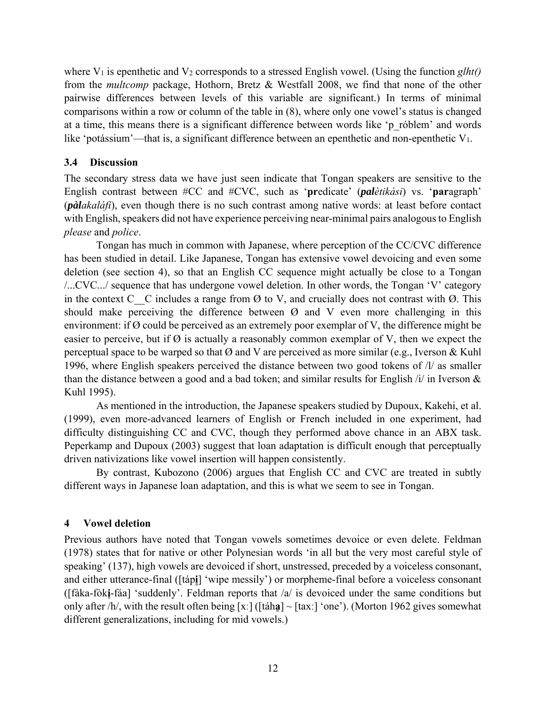where V<sub>1</sub> is epenthetic and V<sub>2</sub> corresponds to a stressed English vowel. (Using the function *glht()* from the *multcomp* package, Hothorn, Bretz & Westfall 2008, we find that none of the other pairwise differences between levels of this variable are significant.) In terms of minimal comparisons within a row or column of the table in (8), where only one vowel's status is changed at a time, this means there is a significant difference between words like 'p\_róblem' and words like 'potássium'—that is, a significant difference between an epenthetic and non-epenthetic V<sub>1</sub>.

# **3.4 Discussion**

The secondary stress data we have just seen indicate that Tongan speakers are sensitive to the English contrast between #CC and #CVC, such as '**pr**edicate' (*palètikási*) vs. '**par**agraph' (*pàlakaláfi*), even though there is no such contrast among native words: at least before contact with English, speakers did not have experience perceiving near-minimal pairs analogous to English *please* and *police*.

 Tongan has much in common with Japanese, where perception of the CC/CVC difference has been studied in detail. Like Japanese, Tongan has extensive vowel devoicing and even some deletion (see section 4), so that an English CC sequence might actually be close to a Tongan /...CVC.../ sequence that has undergone vowel deletion. In other words, the Tongan 'V' category in the context C  $\overline{C}$  cincludes a range from  $\emptyset$  to V, and crucially does not contrast with  $\emptyset$ . This should make perceiving the difference between  $\varnothing$  and V even more challenging in this environment: if Ø could be perceived as an extremely poor exemplar of V, the difference might be easier to perceive, but if  $\emptyset$  is actually a reasonably common exemplar of V, then we expect the perceptual space to be warped so that  $\emptyset$  and V are perceived as more similar (e.g., Iverson & Kuhl 1996, where English speakers perceived the distance between two good tokens of /l/ as smaller than the distance between a good and a bad token; and similar results for English /i/ in Iverson & Kuhl 1995).

As mentioned in the introduction, the Japanese speakers studied by Dupoux, Kakehi, et al. (1999), even more-advanced learners of English or French included in one experiment, had difficulty distinguishing CC and CVC, though they performed above chance in an ABX task. Peperkamp and Dupoux (2003) suggest that loan adaptation is difficult enough that perceptually driven nativizations like vowel insertion will happen consistently.

 By contrast, Kubozono (2006) argues that English CC and CVC are treated in subtly different ways in Japanese loan adaptation, and this is what we seem to see in Tongan.

# **4 Vowel deletion**

Previous authors have noted that Tongan vowels sometimes devoice or even delete. Feldman (1978) states that for native or other Polynesian words 'in all but the very most careful style of speaking' (137), high vowels are devoiced if short, unstressed, preceded by a voiceless consonant, and either utterance-final ([táp**i̥**] 'wipe messily') or morpheme-final before a voiceless consonant ([fàka-fòk**i̥**-fáa] 'suddenly'. Feldman reports that /a/ is devoiced under the same conditions but only after /h/, with the result often being [x:] ([táh**a**] ~ [tax:] 'one'). (Morton 1962 gives somewhat different generalizations, including for mid vowels.)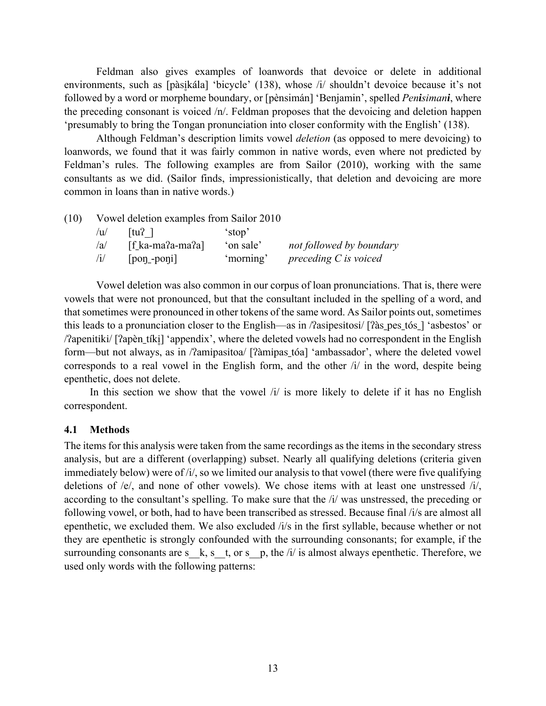Feldman also gives examples of loanwords that devoice or delete in additional environments, such as [pàsikála] 'bicycle' (138), whose /i/ shouldn't devoice because it's not followed by a word or morpheme boundary, or [pènsimán] 'Benjamin', spelled *Penisimani*, where the preceding consonant is voiced /n/. Feldman proposes that the devoicing and deletion happen 'presumably to bring the Tongan pronunciation into closer conformity with the English' (138).

 Although Feldman's description limits vowel *deletion* (as opposed to mere devoicing) to loanwords, we found that it was fairly common in native words, even where not predicted by Feldman's rules. The following examples are from Sailor (2010), working with the same consultants as we did. (Sailor finds, impressionistically, that deletion and devoicing are more common in loans than in native words.)

| /u/        | $ tu^2 $                                         | stop <sup>2</sup> |                          |
|------------|--------------------------------------------------|-------------------|--------------------------|
| /a         | $\lceil \text{fa-ma}^2 \cdot \text{ma}^2 \rceil$ | 'on sale'         | not followed by boundary |
| $\sqrt{1}$ | $[pon$ -poni $]$                                 | 'morning'         | preceding $C$ is voiced  |

 Vowel deletion was also common in our corpus of loan pronunciations. That is, there were vowels that were not pronounced, but that the consultant included in the spelling of a word, and that sometimes were pronounced in other tokens of the same word. As Sailor points out, sometimes this leads to a pronunciation closer to the English—as in /ʔasipesitosi/ [ʔàs\_pes\_tós\_] 'asbestos' or / $\alpha$ apenitiki/ [ $\alpha$ pentiki] 'appendix', where the deleted vowels had no correspondent in the English form—but not always, as in /ʔamipasitoa/ [ʔàmipas\_tóa] 'ambassador', where the deleted vowel corresponds to a real vowel in the English form, and the other /i/ in the word, despite being epenthetic, does not delete.

In this section we show that the vowel  $\pi$  is more likely to delete if it has no English correspondent.

#### **4.1 Methods**

The items for this analysis were taken from the same recordings as the items in the secondary stress analysis, but are a different (overlapping) subset. Nearly all qualifying deletions (criteria given immediately below) were of /i/, so we limited our analysis to that vowel (there were five qualifying deletions of /e/, and none of other vowels). We chose items with at least one unstressed /i/, according to the consultant's spelling. To make sure that the /i/ was unstressed, the preceding or following vowel, or both, had to have been transcribed as stressed. Because final /i/s are almost all epenthetic, we excluded them. We also excluded /i/s in the first syllable, because whether or not they are epenthetic is strongly confounded with the surrounding consonants; for example, if the surrounding consonants are s\_k, s\_t, or s\_p, the  $/i/$  is almost always epenthetic. Therefore, we used only words with the following patterns: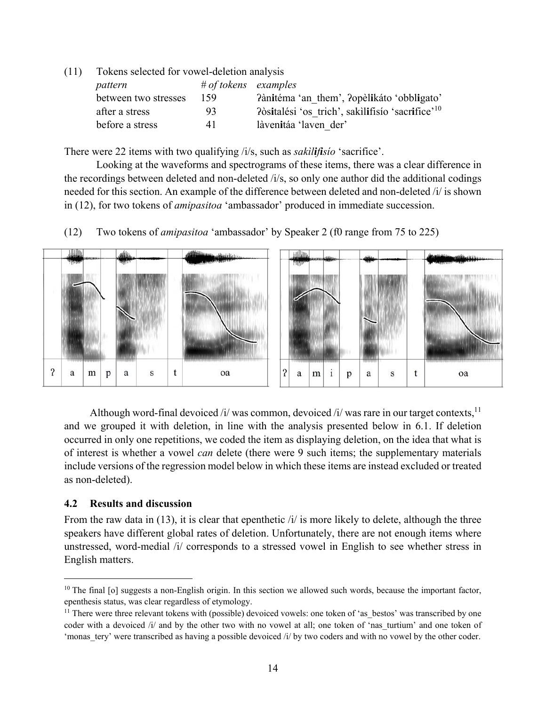(11) Tokens selected for vowel-deletion analysis

| pattern              | $# of tokens$ examples |                                                              |
|----------------------|------------------------|--------------------------------------------------------------|
| between two stresses | 159                    | Pànitéma 'an them', Popèlikáto 'obbligato'                   |
| after a stress       | 93.                    | ?òsitalési 'os trich', sakilifísio 'sacrifice' <sup>10</sup> |
| before a stress      | 41                     | làvenitáa 'laven der'                                        |

There were 22 items with two qualifying /i/s, such as *sakìlifisío* 'sacrifice'.

 Looking at the waveforms and spectrograms of these items, there was a clear difference in the recordings between deleted and non-deleted /i/s, so only one author did the additional codings needed for this section. An example of the difference between deleted and non-deleted /i/ is shown in (12), for two tokens of *amipasitoa* 'ambassador' produced in immediate succession.

(12) Two tokens of *amipasitoa* 'ambassador' by Speaker 2 (f0 range from 75 to 225)



Although word-final devoiced /i/ was common, devoiced /i/ was rare in our target contexts,  $^{11}$ and we grouped it with deletion, in line with the analysis presented below in 6.1. If deletion occurred in only one repetitions, we coded the item as displaying deletion, on the idea that what is of interest is whether a vowel *can* delete (there were 9 such items; the supplementary materials include versions of the regression model below in which these items are instead excluded or treated as non-deleted).

#### **4.2 Results and discussion**

From the raw data in  $(13)$ , it is clear that epenthetic  $\lambda i$  is more likely to delete, although the three speakers have different global rates of deletion. Unfortunately, there are not enough items where unstressed, word-medial /i/ corresponds to a stressed vowel in English to see whether stress in English matters.

 $10$  The final [o] suggests a non-English origin. In this section we allowed such words, because the important factor, epenthesis status, was clear regardless of etymology.

<sup>&</sup>lt;sup>11</sup> There were three relevant tokens with (possible) devoiced vowels: one token of 'as bestos' was transcribed by one coder with a devoiced /i/ and by the other two with no vowel at all; one token of 'nas turtium' and one token of 'monas tery' were transcribed as having a possible devoiced /i/ by two coders and with no vowel by the other coder.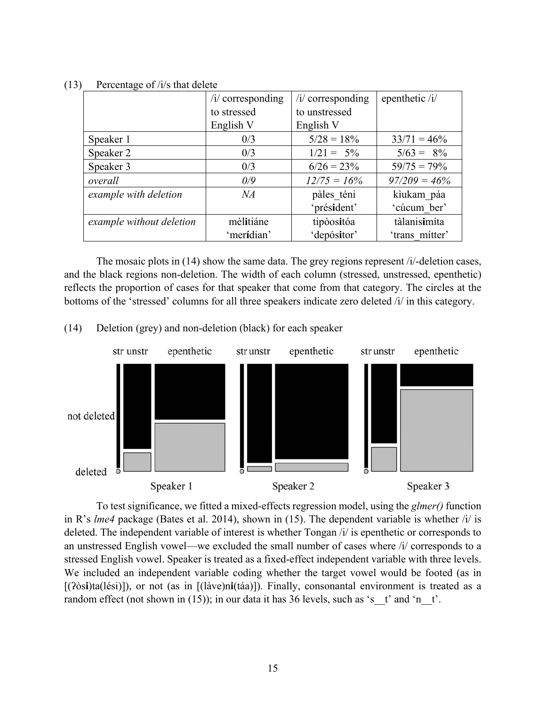|                          | $\frac{1}{2}$ corresponding  | $/i$ corresponding | epenthetic /i/  |
|--------------------------|------------------------------|--------------------|-----------------|
|                          | to unstressed<br>to stressed |                    |                 |
|                          | English V                    | English V          |                 |
| Speaker 1                | 0/3                          | $5/28 = 18\%$      | $33/71 = 46\%$  |
| Speaker 2                | 0/3                          | $1/21 = 5\%$       | $5/63 = 8\%$    |
| Speaker 3                | 0/3                          | $6/26 = 23\%$      | $59/75 = 79\%$  |
| overall                  | 0/9                          | $12/75 = 16\%$     | $97/209 = 46\%$ |
| example with deletion    | NA                           | pàles téni         | kìukam páa      |
|                          |                              | 'président'        | 'cúcum ber'     |
| example without deletion | mèlitiáne                    | tipòositóa         | tàlanisimíta    |
|                          | 'merídian'                   | 'depósitor'        | 'trans mitter'  |

(13) Percentage of /i/s that delete

 The mosaic plots in (14) show the same data. The grey regions represent /i/-deletion cases, and the black regions non-deletion. The width of each column (stressed, unstressed, epenthetic) reflects the proportion of cases for that speaker that come from that category. The circles at the bottoms of the 'stressed' columns for all three speakers indicate zero deleted /i/ in this category.

(14) Deletion (grey) and non-deletion (black) for each speaker



 To test significance, we fitted a mixed-effects regression model, using the *glmer()* function in R's *lme4* package (Bates et al. 2014), shown in (15). The dependent variable is whether /i/ is deleted. The independent variable of interest is whether Tongan /i/ is epenthetic or corresponds to an unstressed English vowel—we excluded the small number of cases where /i/ corresponds to a stressed English vowel. Speaker is treated as a fixed-effect independent variable with three levels. We included an independent variable coding whether the target vowel would be footed (as in [(ʔòs**i**)ta(lési)]), or not (as in [(làve)n**i**(táa)]). Finally, consonantal environment is treated as a random effect (not shown in (15)); in our data it has 36 levels, such as 's  $t'$  and 'n  $t'$ .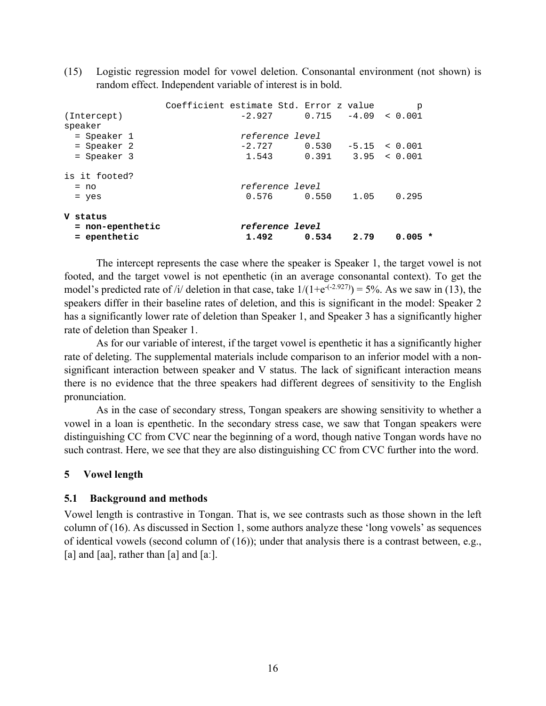(15) Logistic regression model for vowel deletion. Consonantal environment (not shown) is random effect. Independent variable of interest is in bold.

| $=$ epenthetic               |                                         | 1.492    | 0.534                    | 2.79 | $0.005$ *                  |  |
|------------------------------|-----------------------------------------|----------|--------------------------|------|----------------------------|--|
| V status<br>= non-epenthetic |                                         |          | <i>reference level</i>   |      |                            |  |
| $=$ yes                      |                                         |          |                          |      |                            |  |
| $= no$                       |                                         | 0.576    | reference level<br>0.550 | 1.05 | 0.295                      |  |
| is it footed?                |                                         |          |                          |      |                            |  |
| = Speaker 3                  |                                         | 1.543    |                          |      | $0.391$ $3.95$ < $0.001$   |  |
| = Speaker 2                  |                                         | $-2.727$ | 0.530                    |      | $-5.15 \le 0.001$          |  |
| = Speaker 1                  |                                         |          | reference level          |      |                            |  |
| (Intercept)<br>speaker       |                                         |          |                          |      |                            |  |
|                              | Coefficient estimate Std. Error z value | $-2.927$ |                          |      | p<br>$0.715 -4.09 < 0.001$ |  |

 The intercept represents the case where the speaker is Speaker 1, the target vowel is not footed, and the target vowel is not epenthetic (in an average consonantal context). To get the model's predicted rate of /i/ deletion in that case, take  $1/(1+e^{-(2.927)}) = 5\%$ . As we saw in (13), the speakers differ in their baseline rates of deletion, and this is significant in the model: Speaker 2 has a significantly lower rate of deletion than Speaker 1, and Speaker 3 has a significantly higher rate of deletion than Speaker 1.

As for our variable of interest, if the target vowel is epenthetic it has a significantly higher rate of deleting. The supplemental materials include comparison to an inferior model with a nonsignificant interaction between speaker and V status. The lack of significant interaction means there is no evidence that the three speakers had different degrees of sensitivity to the English pronunciation.

As in the case of secondary stress, Tongan speakers are showing sensitivity to whether a vowel in a loan is epenthetic. In the secondary stress case, we saw that Tongan speakers were distinguishing CC from CVC near the beginning of a word, though native Tongan words have no such contrast. Here, we see that they are also distinguishing CC from CVC further into the word.

#### **5 Vowel length**

#### **5.1 Background and methods**

Vowel length is contrastive in Tongan. That is, we see contrasts such as those shown in the left column of (16). As discussed in Section 1, some authors analyze these 'long vowels' as sequences of identical vowels (second column of (16)); under that analysis there is a contrast between, e.g., [a] and [aa], rather than [a] and [a:].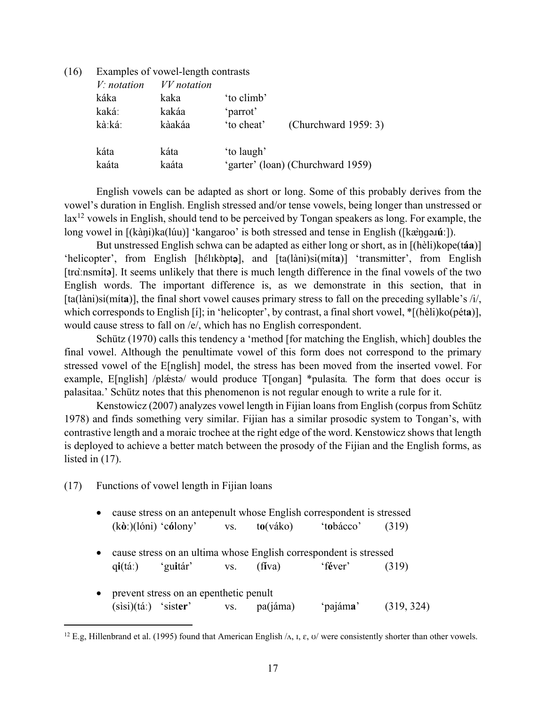| (16) | Examples of vowel-length contrasts |             |            |                                   |  |  |  |
|------|------------------------------------|-------------|------------|-----------------------------------|--|--|--|
|      | $V:$ notation                      | VV notation |            |                                   |  |  |  |
|      | káka                               | kaka        | 'to climb' |                                   |  |  |  |
|      | kaká:                              | kakáa       | 'parrot'   |                                   |  |  |  |
|      | kà:ká:                             | kàakáa      | 'to cheat' | (Churchward 1959: 3)              |  |  |  |
|      | káta                               | káta        | 'to laugh' |                                   |  |  |  |
|      | kaáta                              | kaáta       |            | 'garter' (loan) (Churchward 1959) |  |  |  |

 English vowels can be adapted as short or long. Some of this probably derives from the vowel's duration in English. English stressed and/or tense vowels, being longer than unstressed or lax<sup>12</sup> vowels in English, should tend to be perceived by Tongan speakers as long. For example, the long vowel in [(kàŋi)ka(lúu)] 'kangaroo' is both stressed and tense in English ([kæ̀ŋɡəɹ**úː**]).

 But unstressed English schwa can be adapted as either long or short, as in [(hèli)kope(t**áa**)] 'helicopter', from English [hélɪkbpt**ə**], and [ta(làni)si(míta)] 'transmitter', from English [trɑ̀ːnsmɪ́ t**ə**]. It seems unlikely that there is much length difference in the final vowels of the two English words. The important difference is, as we demonstrate in this section, that in [ta(làni)si(mít**a**)], the final short vowel causes primary stress to fall on the preceding syllable's /i/, which corresponds to English [i]; in 'helicopter', by contrast, a final short vowel,  $*$ [(hèli)ko(pét**a**)], would cause stress to fall on /e/, which has no English correspondent.

 Schütz (1970) calls this tendency a 'method [for matching the English, which] doubles the final vowel. Although the penultimate vowel of this form does not correspond to the primary stressed vowel of the E[nglish] model, the stress has been moved from the inserted vowel. For example, E[nglish] /pl $\hat{z}$ ta/ would produce T[ongan] \*pulasita. The form that does occur is palasitaa.' Schütz notes that this phenomenon is not regular enough to write a rule for it.

 Kenstowicz (2007) analyzes vowel length in Fijian loans from English (corpus from Schütz 1978) and finds something very similar. Fijian has a similar prosodic system to Tongan's, with contrastive length and a moraic trochee at the right edge of the word. Kenstowicz shows that length is deployed to achieve a better match between the prosody of the Fijian and the English forms, as listed in (17).

(17) Functions of vowel length in Fijian loans

1

- cause stress on an antepenult whose English correspondent is stressed (k**òː**)(lóni) 'c**ó**lony' vs. t**o**(váko) 't**o**bácco' (319)
- cause stress on an ultima whose English correspondent is stressed q**i**(táː) 'gu**i**tár' vs. (f**í**va) 'f**é**ver' (319)
- prevent stress on an epenthetic penult (sìsi)(táː) 'sist**er**' vs. pa(jáma) 'pajám**a**' (319, 324)

<sup>&</sup>lt;sup>12</sup> E.g, Hillenbrand et al. (1995) found that American English  $\Lambda$ ,  $\Lambda$ ,  $\epsilon$ ,  $\sigma$  were consistently shorter than other vowels.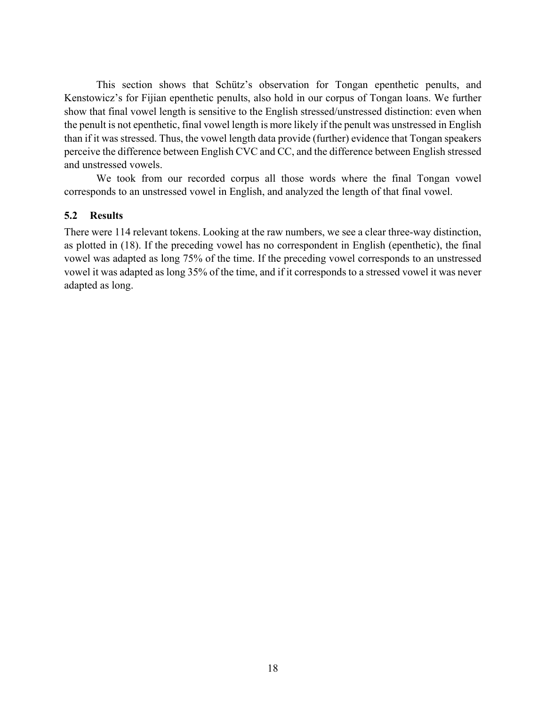This section shows that Schütz's observation for Tongan epenthetic penults, and Kenstowicz's for Fijian epenthetic penults, also hold in our corpus of Tongan loans. We further show that final vowel length is sensitive to the English stressed/unstressed distinction: even when the penult is not epenthetic, final vowel length is more likely if the penult was unstressed in English than if it was stressed. Thus, the vowel length data provide (further) evidence that Tongan speakers perceive the difference between English CVC and CC, and the difference between English stressed and unstressed vowels.

We took from our recorded corpus all those words where the final Tongan vowel corresponds to an unstressed vowel in English, and analyzed the length of that final vowel.

# **5.2 Results**

There were 114 relevant tokens. Looking at the raw numbers, we see a clear three-way distinction, as plotted in (18). If the preceding vowel has no correspondent in English (epenthetic), the final vowel was adapted as long 75% of the time. If the preceding vowel corresponds to an unstressed vowel it was adapted as long 35% of the time, and if it corresponds to a stressed vowel it was never adapted as long.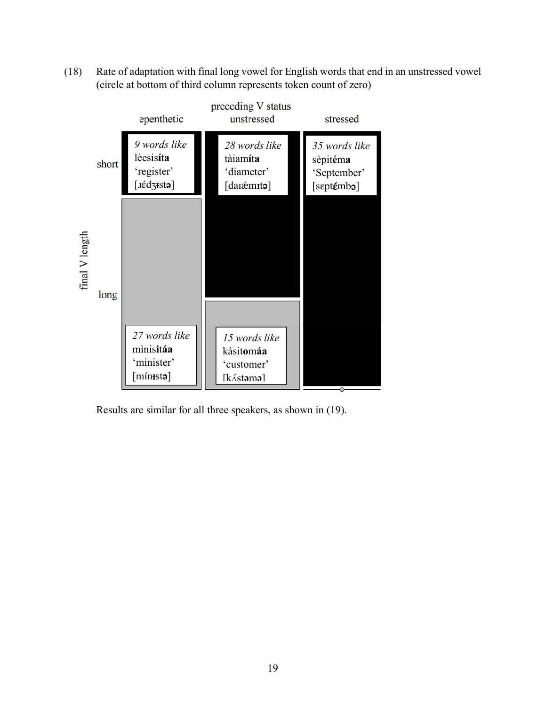(18) Rate of adaptation with final long vowel for English words that end in an unstressed vowel (circle at bottom of third column represents token count of zero)



Results are similar for all three speakers, as shown in (19).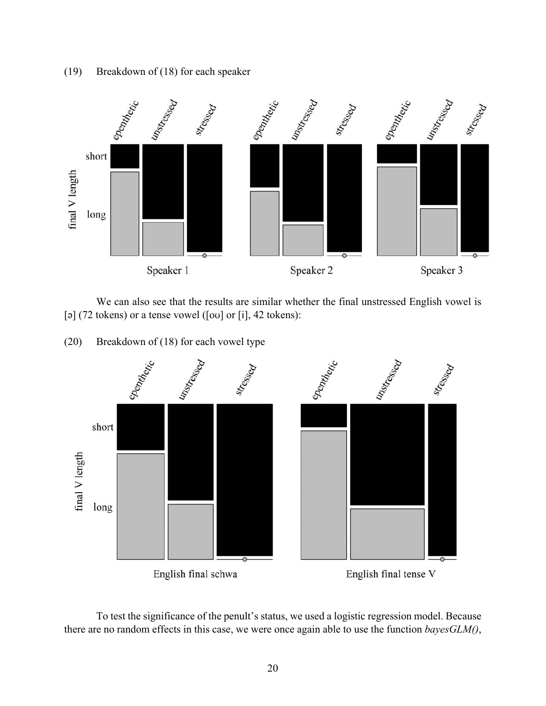(19) Breakdown of (18) for each speaker



 We can also see that the results are similar whether the final unstressed English vowel is [ə] (72 tokens) or a tense vowel ([ou] or [i], 42 tokens):

(20) Breakdown of (18) for each vowel type



 To test the significance of the penult's status, we used a logistic regression model. Because there are no random effects in this case, we were once again able to use the function *bayesGLM()*,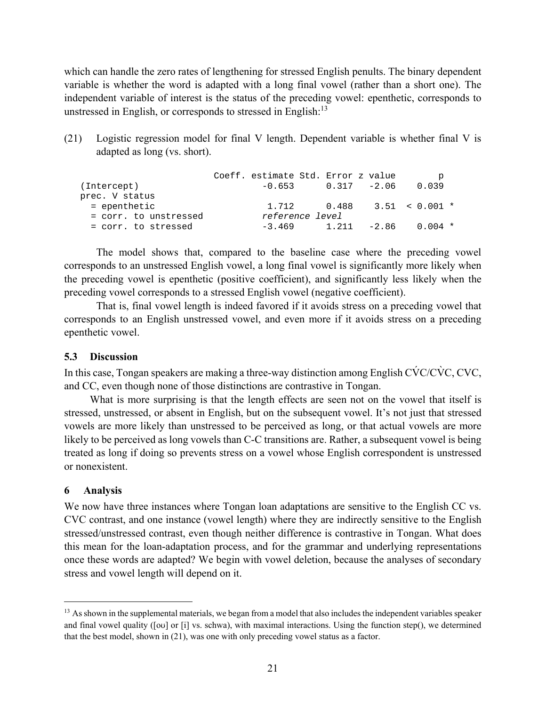which can handle the zero rates of lengthening for stressed English penults. The binary dependent variable is whether the word is adapted with a long final vowel (rather than a short one). The independent variable of interest is the status of the preceding vowel: epenthetic, corresponds to unstressed in English, or corresponds to stressed in English:13

(21) Logistic regression model for final V length. Dependent variable is whether final V is adapted as long (vs. short).

|                       | Coeff. estimate Std. Error z value |  | p                              |
|-----------------------|------------------------------------|--|--------------------------------|
| (Intercept)           | $-0.653$                           |  | $0.317 -2.06$ 0.039            |
| prec. V status        |                                    |  |                                |
| = epenthetic          |                                    |  | $1.712$ 0.488 $3.51$ < 0.001 * |
| = corr. to unstressed | reference level                    |  |                                |
| = corr. to stressed   |                                    |  | $-3.469$ 1.211 $-2.86$ 0.004 * |

The model shows that, compared to the baseline case where the preceding vowel corresponds to an unstressed English vowel, a long final vowel is significantly more likely when the preceding vowel is epenthetic (positive coefficient), and significantly less likely when the preceding vowel corresponds to a stressed English vowel (negative coefficient).

That is, final vowel length is indeed favored if it avoids stress on a preceding vowel that corresponds to an English unstressed vowel, and even more if it avoids stress on a preceding epenthetic vowel.

### **5.3 Discussion**

In this case, Tongan speakers are making a three-way distinction among English C $\acute{V}C/C\grave{V}C$ , CVC, and CC, even though none of those distinctions are contrastive in Tongan.

What is more surprising is that the length effects are seen not on the vowel that itself is stressed, unstressed, or absent in English, but on the subsequent vowel. It's not just that stressed vowels are more likely than unstressed to be perceived as long, or that actual vowels are more likely to be perceived as long vowels than C-C transitions are. Rather, a subsequent vowel is being treated as long if doing so prevents stress on a vowel whose English correspondent is unstressed or nonexistent.

# **6 Analysis**

 $\overline{a}$ 

We now have three instances where Tongan loan adaptations are sensitive to the English CC vs. CVC contrast, and one instance (vowel length) where they are indirectly sensitive to the English stressed/unstressed contrast, even though neither difference is contrastive in Tongan. What does this mean for the loan-adaptation process, and for the grammar and underlying representations once these words are adapted? We begin with vowel deletion, because the analyses of secondary stress and vowel length will depend on it.

<sup>&</sup>lt;sup>13</sup> As shown in the supplemental materials, we began from a model that also includes the independent variables speaker and final vowel quality ([oʊ] or [i] vs. schwa), with maximal interactions. Using the function step(), we determined that the best model, shown in (21), was one with only preceding vowel status as a factor.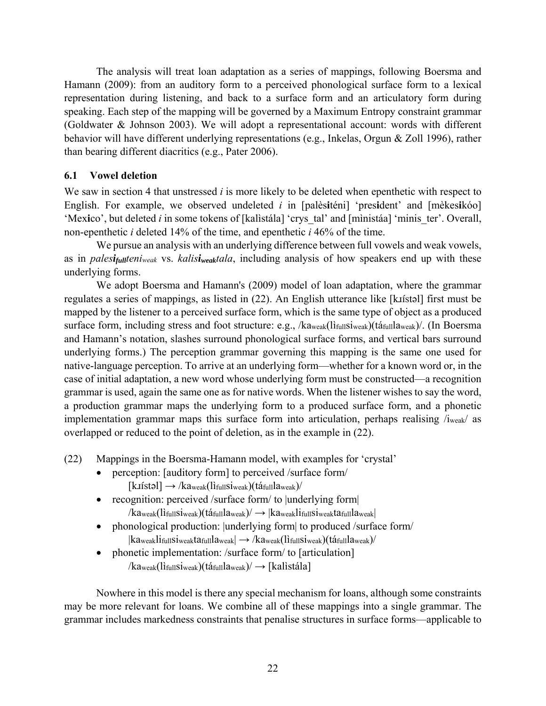The analysis will treat loan adaptation as a series of mappings, following Boersma and Hamann (2009): from an auditory form to a perceived phonological surface form to a lexical representation during listening, and back to a surface form and an articulatory form during speaking. Each step of the mapping will be governed by a Maximum Entropy constraint grammar (Goldwater & Johnson 2003). We will adopt a representational account: words with different behavior will have different underlying representations (e.g., Inkelas, Orgun & Zoll 1996), rather than bearing different diacritics (e.g., Pater 2006).

## **6.1 Vowel deletion**

We saw in section 4 that unstressed *i* is more likely to be deleted when epenthetic with respect to English. For example, we observed undeleted *i* in [palès**i**téni] 'pres**i**dent' and [mèkes**i**kóo] 'Mex**i**co', but deleted *i* in some tokens of [kalìstála] 'crys\_tal' and [mìnistáa] 'minis\_ter'. Overall, non-epenthetic *i* deleted 14% of the time, and epenthetic *i* 46% of the time.

We pursue an analysis with an underlying difference between full vowels and weak vowels, as in *palesifullteniweak* vs. *kalisiweaktala*, including analysis of how speakers end up with these underlying forms.

 We adopt Boersma and Hamann's (2009) model of loan adaptation, where the grammar regulates a series of mappings, as listed in  $(22)$ . An English utterance like [k*xistal*] first must be mapped by the listener to a perceived surface form, which is the same type of object as a produced surface form, including stress and foot structure: e.g., /kaweak(lìfullsiweak)(táfullaweak)/. (In Boersma and Hamann's notation, slashes surround phonological surface forms, and vertical bars surround underlying forms.) The perception grammar governing this mapping is the same one used for native-language perception. To arrive at an underlying form—whether for a known word or, in the case of initial adaptation, a new word whose underlying form must be constructed—a recognition grammar is used, again the same one as for native words. When the listener wishes to say the word, a production grammar maps the underlying form to a produced surface form, and a phonetic implementation grammar maps this surface form into articulation, perhaps realising /iweak/ as overlapped or reduced to the point of deletion, as in the example in (22).

(22) Mappings in the Boersma-Hamann model, with examples for 'crystal'

- perception: [auditory form] to perceived /surface form/  $[k_1$$ istəl $] \rightarrow /k_2$ aweak $(l_1^i$ ifullsiweak) $(l_2^i)$
- recognition: perceived /surface form/ to |underlying form|  $\ell$ kaweak(lìfullsiweak)(táfull $l$ aweak) $\ell \rightarrow$  |kaweaklifullsiweaktafullaweak|
- phonological production: |underlying form| to produced /surface form/  $|ka_{weak}$ lifullSiweaktafull $a_{weak}$   $\rightarrow$  /kaweak(lifullSiweak)(táfullaweak)/
- phonetic implementation: /surface form/ to [articulation]

 $/ka_{\text{weak}}(l$ i<sub>full</sub>si<sub>weak</sub>)(tá<sub>full</sub>la<sub>weak</sub>) $/\rightarrow$  [kalistála]

Nowhere in this model is there any special mechanism for loans, although some constraints may be more relevant for loans. We combine all of these mappings into a single grammar. The grammar includes markedness constraints that penalise structures in surface forms—applicable to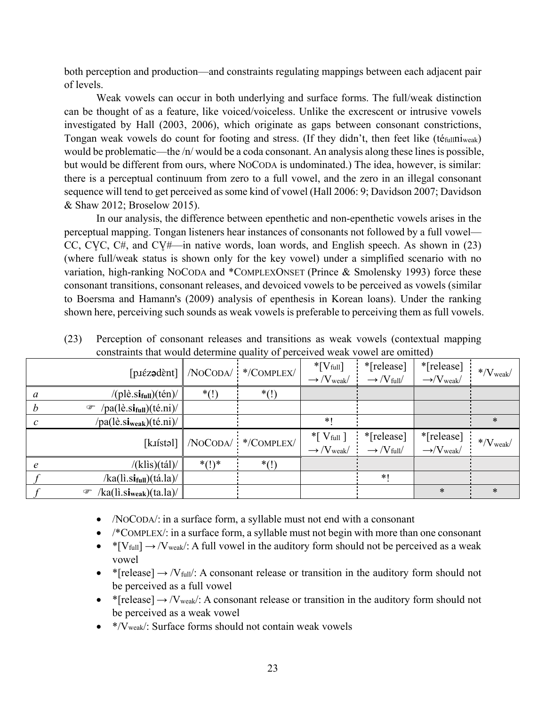both perception and production—and constraints regulating mappings between each adjacent pair of levels.

Weak vowels can occur in both underlying and surface forms. The full/weak distinction can be thought of as a feature, like voiced/voiceless. Unlike the excrescent or intrusive vowels investigated by Hall (2003, 2006), which originate as gaps between consonant constrictions, Tongan weak vowels do count for footing and stress. (If they didn't, then feet like (téfullniweak) would be problematic—the /n/ would be a coda consonant. An analysis along these lines is possible, but would be different from ours, where NOCODA is undominated.) The idea, however, is similar: there is a perceptual continuum from zero to a full vowel, and the zero in an illegal consonant sequence will tend to get perceived as some kind of vowel (Hall 2006: 9; Davidson 2007; Davidson & Shaw 2012; Broselow 2015).

In our analysis, the difference between epenthetic and non-epenthetic vowels arises in the perceptual mapping. Tongan listeners hear instances of consonants not followed by a full vowel— CC, CVC,  $C\#$ , and  $C\#$ —in native words, loan words, and English speech. As shown in (23) (where full/weak status is shown only for the key vowel) under a simplified scenario with no variation, high-ranking NOCODA and \*COMPLEXONSET (Prince & Smolensky 1993) force these consonant transitions, consonant releases, and devoiced vowels to be perceived as vowels (similar to Boersma and Hamann's (2009) analysis of epenthesis in Korean loans). Under the ranking shown here, perceiving such sounds as weak vowels is preferable to perceiving them as full vowels.

|               | $[\text{p}$ is expected $\blacksquare$                    | /NOCODA/     | */COMPLEX/          | $*$ [ $V$ full]<br>$\rightarrow$ /V <sub>weak</sub> /  | *[release]<br>$\rightarrow$ /V full | *[release]<br>$\rightarrow$ / $V_{weak}$ | $*$ / $V_{weak}$                             |
|---------------|-----------------------------------------------------------|--------------|---------------------|--------------------------------------------------------|-------------------------------------|------------------------------------------|----------------------------------------------|
| a             | $/(pl\hat{e}.si_{full})(t\hat{e}n)/$                      | $*(!)$       | $*(!)$              |                                                        |                                     |                                          |                                              |
| h             | $/pa(l\hat{e}.si_{full})(t\hat{e}.ni)/$<br>$\circledcirc$ |              |                     |                                                        |                                     |                                          |                                              |
| $\mathcal{C}$ | $/pa(l\hat{e}.si_{weak})(t\hat{e}.ni)/$                   |              |                     | $*1$                                                   |                                     |                                          | $\ast$                                       |
|               |                                                           |              |                     |                                                        |                                     |                                          |                                              |
|               | [kuístəl]                                                 |              | /NOCODA/ */COMPLEX/ | $*$ [ $V$ full ]<br>$\rightarrow$ /V <sub>weak</sub> / | *[release]<br>$\rightarrow$ /V full | *[release]<br>$\rightarrow$ / $V_{weak}$ | $\frac{1}{2}$ $\sqrt{\frac{1}{\text{Weak}}}$ |
| e             | $/$ (klis)(tál) $/$                                       | $^{*}()^{*}$ | $*(!)$              |                                                        |                                     |                                          |                                              |
|               | $/$ ka(li.si <sub>full</sub> )(tá.la)                     |              |                     |                                                        | $*1$                                |                                          |                                              |

(23) Perception of consonant releases and transitions as weak vowels (contextual mapping constraints that would determine quality of perceived weak vowel are omitted)

- /NOCODA/: in a surface form, a syllable must not end with a consonant
- /\*COMPLEX/: in a surface form, a syllable must not begin with more than one consonant
- \*[V<sub>full</sub>]  $\rightarrow$  /V<sub>weak</sub>/: A full vowel in the auditory form should not be perceived as a weak vowel
- \* [release]  $\rightarrow$  /V<sub>full</sub>/: A consonant release or transition in the auditory form should not be perceived as a full vowel
- \* [release]  $\rightarrow$  /V<sub>weak</sub>/: A consonant release or transition in the auditory form should not be perceived as a weak vowel
- $\bullet$  \*/V<sub>weak</sub>/: Surface forms should not contain weak vowels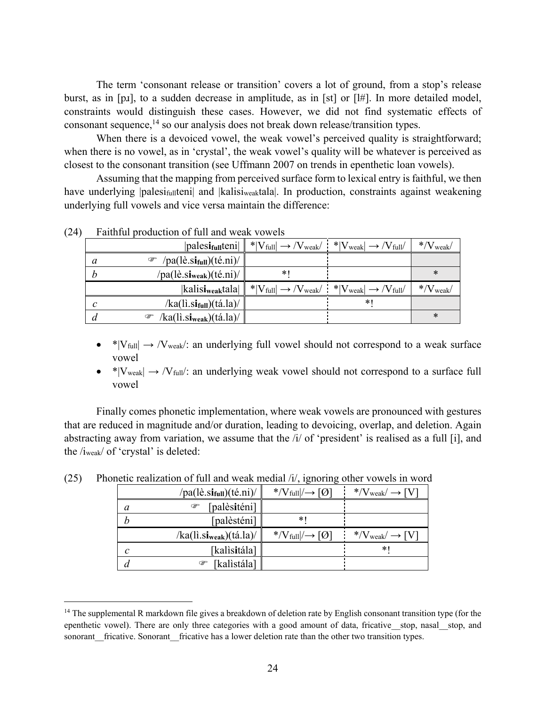The term 'consonant release or transition' covers a lot of ground, from a stop's release burst, as in [pɹ], to a sudden decrease in amplitude, as in [st] or [l#]. In more detailed model, constraints would distinguish these cases. However, we did not find systematic effects of consonant sequence,<sup>14</sup> so our analysis does not break down release/transition types.

When there is a devoiced vowel, the weak vowel's perceived quality is straightforward; when there is no vowel, as in 'crystal', the weak vowel's quality will be whatever is perceived as closest to the consonant transition (see Uffmann 2007 on trends in epenthetic loan vowels).

Assuming that the mapping from perceived surface form to lexical entry is faithful, we then have underlying |palesi<sub>full</sub>teni| and |kalisi<sub>weak</sub>tala|. In production, constraints against weakening underlying full vowels and vice versa maintain the difference:

|              | $ {\rm palesi_{full}}(en) $                  | $* V_{full}  \rightarrow /V_{weak}/$ $* V_{weak}  \rightarrow /V_{full}/$ |        | $\rm *,\!$ $\rm W_{\rm weak}$ |
|--------------|----------------------------------------------|---------------------------------------------------------------------------|--------|-------------------------------|
| a            | $/pa(l\hat{e}.si_{full})(t\hat{e}.ni)/$<br>☞ |                                                                           |        |                               |
| n            | $/pa(l\hat{e}.si_{weak})(t\hat{e}.ni)/$      | *1                                                                        |        | ∗                             |
|              |                                              |                                                                           |        |                               |
|              | kalisi <sub>weak</sub> tala                  | $* V_{full}  \rightarrow /V_{weak}/$ $* V_{weak}  \rightarrow /V_{full}/$ |        | $*$ / $V$ <sub>weak</sub> /   |
| $\mathcal C$ | /ka(lì.s <b>i<sub>full</sub>)</b> (tá.la)/   |                                                                           | $\ast$ |                               |

(24) Faithful production of full and weak vowels

 $\overline{a}$ 

- \*| $V_{full}$   $\rightarrow$  / $V_{weak}$ : an underlying full vowel should not correspond to a weak surface vowel
- \* $|V_{weak}| \rightarrow /V_{full}$ : an underlying weak vowel should not correspond to a surface full vowel

Finally comes phonetic implementation, where weak vowels are pronounced with gestures that are reduced in magnitude and/or duration, leading to devoicing, overlap, and deletion. Again abstracting away from variation, we assume that the /i/ of 'president' is realised as a full [i], and the /iweak/ of 'crystal' is deleted:

|              | $/$ pa(lè.si <sub>full</sub> )(té.ni)/ | */ $V$ full $/→$<br> Q            | $*$ / $V_{weak}$ –                      |
|--------------|----------------------------------------|-----------------------------------|-----------------------------------------|
| a            | [palèsiténi]<br>œ                      |                                   |                                         |
| h            | [palèsténi]                            | *1                                |                                         |
|              | $/$ ka(li.si <sub>weak</sub> )(tá.la)  | */ $V_{full}$   $\rightarrow$ [Ø] | */V <sub>weak</sub> / $\rightarrow$ [V] |
| $\mathcal C$ | [kalisitála]                           |                                   | *1                                      |
| a            | [kalìstála]<br>œ                       |                                   |                                         |

(25) Phonetic realization of full and weak medial /i/, ignoring other vowels in word

<sup>&</sup>lt;sup>14</sup> The supplemental R markdown file gives a breakdown of deletion rate by English consonant transition type (for the epenthetic vowel). There are only three categories with a good amount of data, fricative stop, nasal stop, and sonorant fricative. Sonorant fricative has a lower deletion rate than the other two transition types.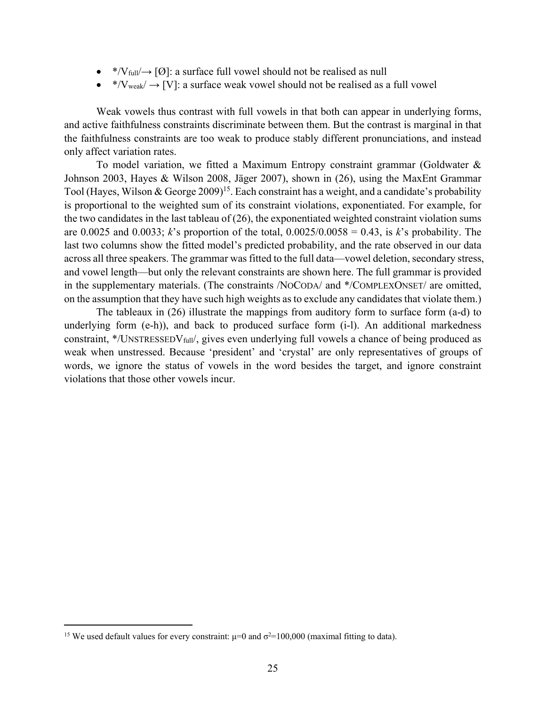- \*/V $_{\text{full}}$   $\rightarrow$  [O]: a surface full vowel should not be realised as null
- \*/V<sub>weak</sub>/ $\rightarrow$  [V]: a surface weak vowel should not be realised as a full vowel

Weak vowels thus contrast with full vowels in that both can appear in underlying forms, and active faithfulness constraints discriminate between them. But the contrast is marginal in that the faithfulness constraints are too weak to produce stably different pronunciations, and instead only affect variation rates.

To model variation, we fitted a Maximum Entropy constraint grammar (Goldwater & Johnson 2003, Hayes & Wilson 2008, Jäger 2007), shown in (26), using the MaxEnt Grammar Tool (Hayes, Wilson & George 2009)<sup>15</sup>. Each constraint has a weight, and a candidate's probability is proportional to the weighted sum of its constraint violations, exponentiated. For example, for the two candidates in the last tableau of (26), the exponentiated weighted constraint violation sums are 0.0025 and 0.0033; *k*'s proportion of the total,  $0.0025/0.0058 = 0.43$ , is *k*'s probability. The last two columns show the fitted model's predicted probability, and the rate observed in our data across all three speakers. The grammar was fitted to the full data—vowel deletion, secondary stress, and vowel length—but only the relevant constraints are shown here. The full grammar is provided in the supplementary materials. (The constraints /NOCODA/ and \*/COMPLEXONSET/ are omitted, on the assumption that they have such high weights as to exclude any candidates that violate them.)

The tableaux in (26) illustrate the mappings from auditory form to surface form (a-d) to underlying form (e-h)), and back to produced surface form (i-l). An additional markedness constraint,  $*/UNSTRESSEDV<sub>full</sub>$ , gives even underlying full vowels a chance of being produced as weak when unstressed. Because 'president' and 'crystal' are only representatives of groups of words, we ignore the status of vowels in the word besides the target, and ignore constraint violations that those other vowels incur.

1

<sup>&</sup>lt;sup>15</sup> We used default values for every constraint:  $\mu=0$  and  $\sigma^2=100,000$  (maximal fitting to data).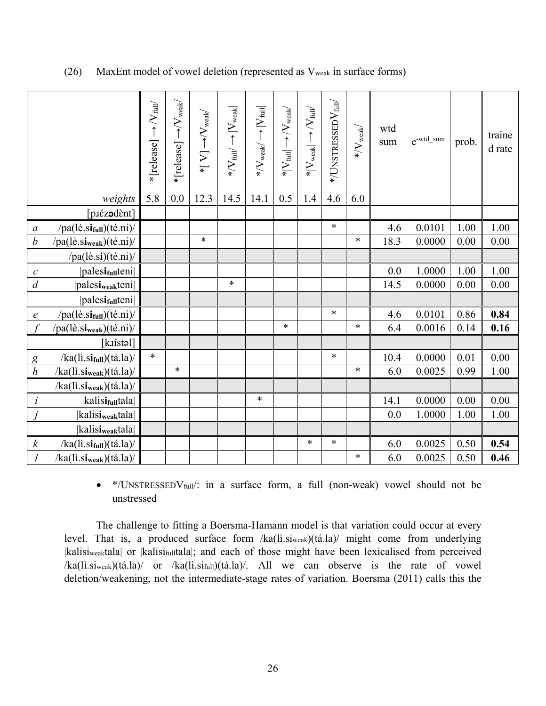|                                      |                                                                                                                                                                                                                                                                                                                                                                                                                                                                                                                                                                                                                                                                         | $*$ [release] $\rightarrow$ /V $_{\rm full}$ / | $*$ [release] $\rightarrow$ / $V_{\rm weak}$ | $*[\text{ V}] {\rightarrow} \text{V}_{\text{weak}}$ | $*$ / $V_{\rm full}/\longrightarrow$ $ V_{\rm weak} $ | $* / \mathrm{V}_{\mathrm{weak}} / \rightarrow  \mathrm{V}_{\mathrm{full}} $ | $* V_{full}  \rightarrow /V_{weak}$ | $* V_{weak}  \rightarrow  V_{full} $ | $*$ /UNSTRESSED $\rm V_{full}$ | $\rm */V_{weak}$ | wtd<br>sum | $e^{-wtd\_sum}$ | prob. | traine<br>d rate |
|--------------------------------------|-------------------------------------------------------------------------------------------------------------------------------------------------------------------------------------------------------------------------------------------------------------------------------------------------------------------------------------------------------------------------------------------------------------------------------------------------------------------------------------------------------------------------------------------------------------------------------------------------------------------------------------------------------------------------|------------------------------------------------|----------------------------------------------|-----------------------------------------------------|-------------------------------------------------------|-----------------------------------------------------------------------------|-------------------------------------|--------------------------------------|--------------------------------|------------------|------------|-----------------|-------|------------------|
|                                      | weights                                                                                                                                                                                                                                                                                                                                                                                                                                                                                                                                                                                                                                                                 | 5.8                                            | 0.0                                          | 12.3                                                | 14.5                                                  | 14.1                                                                        | 0.5                                 | 1.4                                  | 4.6                            | 6.0              |            |                 |       |                  |
|                                      | [p.iézadènt]                                                                                                                                                                                                                                                                                                                                                                                                                                                                                                                                                                                                                                                            |                                                |                                              |                                                     |                                                       |                                                                             |                                     |                                      | $\ast$                         |                  | 4.6        | 0.0101          | 1.00  | 1.00             |
| $\boldsymbol{a}$<br>$\boldsymbol{b}$ | $/pa(l\hat{e}.si_{full})(t\hat{e}.ni)/$<br>$/pa(l\hat{e}.si_{weak})(t\hat{e}.ni)/$                                                                                                                                                                                                                                                                                                                                                                                                                                                                                                                                                                                      |                                                |                                              | $\ast$                                              |                                                       |                                                                             |                                     |                                      |                                | $\ast$           | 18.3       | 0.0000          | 0.00  | 0.00             |
|                                      | $/pa(l\hat{e}.si)(t\hat{e}.ni)/$                                                                                                                                                                                                                                                                                                                                                                                                                                                                                                                                                                                                                                        |                                                |                                              |                                                     |                                                       |                                                                             |                                     |                                      |                                |                  |            |                 |       |                  |
| $\mathcal C$                         | palesi <sub>full</sub> teni                                                                                                                                                                                                                                                                                                                                                                                                                                                                                                                                                                                                                                             |                                                |                                              |                                                     |                                                       |                                                                             |                                     |                                      |                                |                  | 0.0        | 1.0000          | 1.00  | 1.00             |
| $\boldsymbol{d}$                     | palesi <sub>weak</sub> teni                                                                                                                                                                                                                                                                                                                                                                                                                                                                                                                                                                                                                                             |                                                |                                              |                                                     | $\ast$                                                |                                                                             |                                     |                                      |                                |                  | 14.5       | 0.0000          | 0.00  | $0.00\,$         |
|                                      | palesi <sub>full</sub> teni                                                                                                                                                                                                                                                                                                                                                                                                                                                                                                                                                                                                                                             |                                                |                                              |                                                     |                                                       |                                                                             |                                     |                                      |                                |                  |            |                 |       |                  |
| $\boldsymbol{e}$                     | $/pa(l\hat{e}.si_{full})(t\hat{e}.ni)/$                                                                                                                                                                                                                                                                                                                                                                                                                                                                                                                                                                                                                                 |                                                |                                              |                                                     |                                                       |                                                                             |                                     |                                      | $\ast$                         |                  | 4.6        | 0.0101          | 0.86  | 0.84             |
|                                      | $/pa(l\hat{e}.si_{weak})(t\hat{e}.ni)/$                                                                                                                                                                                                                                                                                                                                                                                                                                                                                                                                                                                                                                 |                                                |                                              |                                                     |                                                       |                                                                             | $\ast$                              |                                      |                                | $\ast$           | 6.4        | 0.0016          | 0.14  | 0.16             |
|                                      | [kuístəl]                                                                                                                                                                                                                                                                                                                                                                                                                                                                                                                                                                                                                                                               |                                                |                                              |                                                     |                                                       |                                                                             |                                     |                                      |                                |                  |            |                 |       |                  |
| $\overline{g}$                       | $/ka(li.si_{full})(tá.la)/$                                                                                                                                                                                                                                                                                                                                                                                                                                                                                                                                                                                                                                             | $\ast$                                         |                                              |                                                     |                                                       |                                                                             |                                     |                                      | $\ast$                         |                  | 10.4       | 0.0000          | 0.01  | 0.00             |
| $\boldsymbol{h}$                     | /ka(lì.s <b>i</b> <sub>weak</sub> )(tá.la)/                                                                                                                                                                                                                                                                                                                                                                                                                                                                                                                                                                                                                             |                                                | $\ast$                                       |                                                     |                                                       |                                                                             |                                     |                                      |                                | ∗                | 6.0        | 0.0025          | 0.99  | 1.00             |
|                                      | $/ka(li.si_{weak})(tá.la)/$                                                                                                                                                                                                                                                                                                                                                                                                                                                                                                                                                                                                                                             |                                                |                                              |                                                     |                                                       |                                                                             |                                     |                                      |                                |                  |            |                 |       |                  |
| $\dot{i}$                            | kalisi <sub>full</sub> tala                                                                                                                                                                                                                                                                                                                                                                                                                                                                                                                                                                                                                                             |                                                |                                              |                                                     |                                                       | $\ast$                                                                      |                                     |                                      |                                |                  | 14.1       | 0.0000          | 0.00  | 0.00             |
| $\dot{J}$                            | kalisi <sub>weak</sub> tala                                                                                                                                                                                                                                                                                                                                                                                                                                                                                                                                                                                                                                             |                                                |                                              |                                                     |                                                       |                                                                             |                                     |                                      |                                |                  | 0.0        | 1.0000          | 1.00  | 1.00             |
|                                      | kalisi <sub>weak</sub> tala                                                                                                                                                                                                                                                                                                                                                                                                                                                                                                                                                                                                                                             |                                                |                                              |                                                     |                                                       |                                                                             |                                     |                                      |                                |                  |            |                 |       |                  |
| $\boldsymbol{k}$                     | $/ka(li.si_{full})(tá.la)/$                                                                                                                                                                                                                                                                                                                                                                                                                                                                                                                                                                                                                                             |                                                |                                              |                                                     |                                                       |                                                                             |                                     | $\ast$                               | $\ast$                         |                  | 6.0        | 0.0025          | 0.50  | 0.54             |
| $\mathfrak l$                        | /ka(lì.si <sub>weak</sub> )(tá.la)/                                                                                                                                                                                                                                                                                                                                                                                                                                                                                                                                                                                                                                     |                                                |                                              |                                                     |                                                       |                                                                             |                                     |                                      |                                | $\ast$           | 6.0        | 0.0025          | 0.50  | 0.46             |
|                                      | */UNSTRESSEDV <sub>full</sub> /: in a surface form, a full (non-weak) vowel should not be<br>unstressed<br>The challenge to fitting a Boersma-Hamann model is that variation could occur at every<br>level. That is, a produced surface form /ka(li.si <sub>weak</sub> )(tá.la)/ might come from underlying<br> kalisi <sub>weak</sub> tala  or  kalisi <sub>full</sub> tala ; and each of those might have been lexicalised from perceived<br>$/ka(1i.si_{weak})(t\acute{a}.la)/$ or $/ka(1i.si_{full})(t\acute{a}.la)/$ . All we can observe is the rate of vowel<br>deletion/weakening, not the intermediate-stage rates of variation. Boersma (2011) calls this the |                                                |                                              |                                                     |                                                       |                                                                             |                                     |                                      |                                |                  |            |                 |       |                  |

### (26) MaxEnt model of vowel deletion (represented as Vweak in surface forms)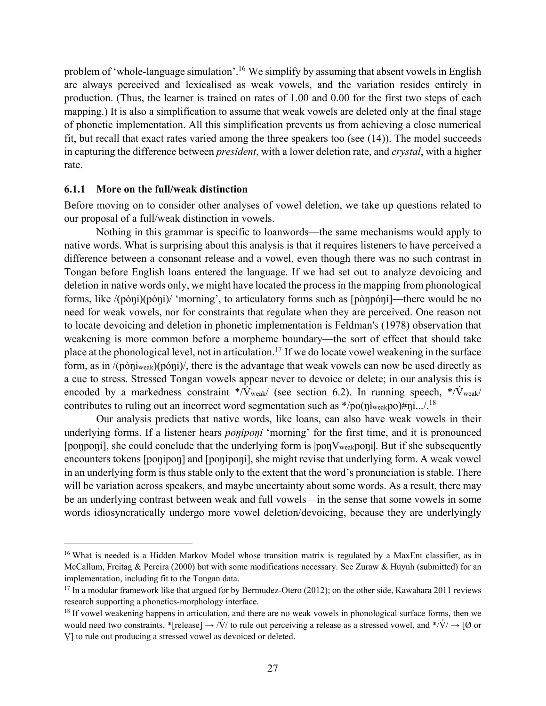problem of 'whole-language simulation'.16 We simplify by assuming that absent vowels in English are always perceived and lexicalised as weak vowels, and the variation resides entirely in production. (Thus, the learner is trained on rates of 1.00 and 0.00 for the first two steps of each mapping.) It is also a simplification to assume that weak vowels are deleted only at the final stage of phonetic implementation. All this simplification prevents us from achieving a close numerical fit, but recall that exact rates varied among the three speakers too (see (14)). The model succeeds in capturing the difference between *president*, with a lower deletion rate, and *crystal*, with a higher rate.

#### **6.1.1 More on the full/weak distinction**

 $\overline{a}$ 

Before moving on to consider other analyses of vowel deletion, we take up questions related to our proposal of a full/weak distinction in vowels.

Nothing in this grammar is specific to loanwords—the same mechanisms would apply to native words. What is surprising about this analysis is that it requires listeners to have perceived a difference between a consonant release and a vowel, even though there was no such contrast in Tongan before English loans entered the language. If we had set out to analyze devoicing and deletion in native words only, we might have located the process in the mapping from phonological forms, like /(pòŋi)(póŋi)/ 'morning', to articulatory forms such as [pòŋpóŋi]—there would be no need for weak vowels, nor for constraints that regulate when they are perceived. One reason not to locate devoicing and deletion in phonetic implementation is Feldman's (1978) observation that weakening is more common before a morpheme boundary—the sort of effect that should take place at the phonological level, not in articulation.17 If we do locate vowel weakening in the surface form, as in /(pòŋiweak)(póŋi)/, there is the advantage that weak vowels can now be used directly as a cue to stress. Stressed Tongan vowels appear never to devoice or delete; in our analysis this is encoded by a markedness constraint \*/ $\dot{V}_{\text{weak}}$  (see section 6.2). In running speech, \*/ $\dot{V}_{\text{weak}}$ contributes to ruling out an incorrect word segmentation such as  $*/po(\eta)_{weak}$  $po(\eta)_{weak}$ 

Our analysis predicts that native words, like loans, can also have weak vowels in their underlying forms. If a listener hears *poniponi* 'morning' for the first time, and it is pronounced [ponponi], she could conclude that the underlying form is  $|popV_{weak}$  bong But if she subsequently encounters tokens [ponipon] and [poniponi], she might revise that underlying form. A weak vowel in an underlying form is thus stable only to the extent that the word's pronunciation is stable. There will be variation across speakers, and maybe uncertainty about some words. As a result, there may be an underlying contrast between weak and full vowels—in the sense that some vowels in some words idiosyncratically undergo more vowel deletion/devoicing, because they are underlyingly

<sup>&</sup>lt;sup>16</sup> What is needed is a Hidden Markov Model whose transition matrix is regulated by a MaxEnt classifier, as in McCallum, Freitag & Pereira (2000) but with some modifications necessary. See Zuraw & Huynh (submitted) for an implementation, including fit to the Tongan data.

<sup>&</sup>lt;sup>17</sup> In a modular framework like that argued for by Bermudez-Otero (2012); on the other side, Kawahara 2011 reviews research supporting a phonetics-morphology interface.

<sup>&</sup>lt;sup>18</sup> If vowel weakening happens in articulation, and there are no weak vowels in phonological surface forms, then we would need two constraints, \*[release]  $\rightarrow$  /V/ to rule out perceiving a release as a stressed vowel, and \*/V/  $\rightarrow$  [Ø or V̥] to rule out producing a stressed vowel as devoiced or deleted.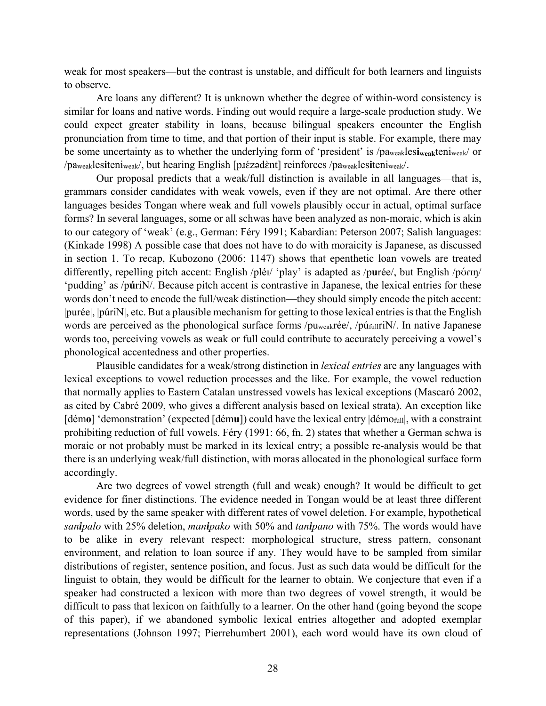weak for most speakers—but the contrast is unstable, and difficult for both learners and linguists to observe.

Are loans any different? It is unknown whether the degree of within-word consistency is similar for loans and native words. Finding out would require a large-scale production study. We could expect greater stability in loans, because bilingual speakers encounter the English pronunciation from time to time, and that portion of their input is stable. For example, there may be some uncertainty as to whether the underlying form of 'president' is /paweakles**iweak**teniweak/ or /paweakles**i**teniweak/, but hearing English [pɹɛ́ zədɛ̀ nt] reinforces /paweakles**i**teniweak/.

Our proposal predicts that a weak/full distinction is available in all languages—that is, grammars consider candidates with weak vowels, even if they are not optimal. Are there other languages besides Tongan where weak and full vowels plausibly occur in actual, optimal surface forms? In several languages, some or all schwas have been analyzed as non-moraic, which is akin to our category of 'weak' (e.g., German: Féry 1991; Kabardian: Peterson 2007; Salish languages: (Kinkade 1998) A possible case that does not have to do with moraicity is Japanese, as discussed in section 1. To recap, Kubozono (2006: 1147) shows that epenthetic loan vowels are treated differently, repelling pitch accent: English /pléɪ/ 'play' is adapted as /purée/, but English /pórɪŋ/ 'pudding' as /p**ú**riN/. Because pitch accent is contrastive in Japanese, the lexical entries for these words don't need to encode the full/weak distinction—they should simply encode the pitch accent: |purée|, |púriN|, etc. But a plausible mechanism for getting to those lexical entries is that the English words are perceived as the phonological surface forms /puweakrée/, /púfullriN/. In native Japanese words too, perceiving vowels as weak or full could contribute to accurately perceiving a vowel's phonological accentedness and other properties.

Plausible candidates for a weak/strong distinction in *lexical entries* are any languages with lexical exceptions to vowel reduction processes and the like. For example, the vowel reduction that normally applies to Eastern Catalan unstressed vowels has lexical exceptions (Mascaró 2002, as cited by Cabré 2009, who gives a different analysis based on lexical strata). An exception like [démo] 'demonstration' (expected [dému]) could have the lexical entry  $\left| \right|$  démo<sub>full</sub>, with a constraint prohibiting reduction of full vowels. Féry (1991: 66, fn. 2) states that whether a German schwa is moraic or not probably must be marked in its lexical entry; a possible re-analysis would be that there is an underlying weak/full distinction, with moras allocated in the phonological surface form accordingly.

Are two degrees of vowel strength (full and weak) enough? It would be difficult to get evidence for finer distinctions. The evidence needed in Tongan would be at least three different words, used by the same speaker with different rates of vowel deletion. For example, hypothetical *sanipalo* with 25% deletion, *manipako* with 50% and *tanipano* with 75%. The words would have to be alike in every relevant respect: morphological structure, stress pattern, consonant environment, and relation to loan source if any. They would have to be sampled from similar distributions of register, sentence position, and focus. Just as such data would be difficult for the linguist to obtain, they would be difficult for the learner to obtain. We conjecture that even if a speaker had constructed a lexicon with more than two degrees of vowel strength, it would be difficult to pass that lexicon on faithfully to a learner. On the other hand (going beyond the scope of this paper), if we abandoned symbolic lexical entries altogether and adopted exemplar representations (Johnson 1997; Pierrehumbert 2001), each word would have its own cloud of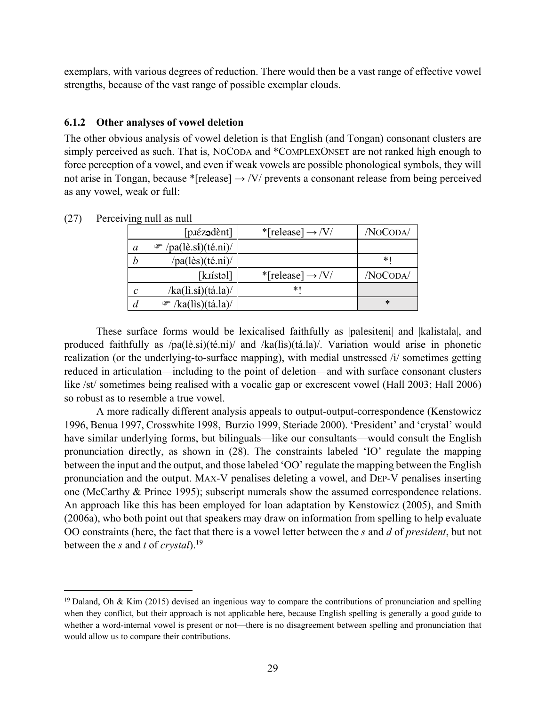exemplars, with various degrees of reduction. There would then be a vast range of effective vowel strengths, because of the vast range of possible exemplar clouds.

# **6.1.2 Other analyses of vowel deletion**

The other obvious analysis of vowel deletion is that English (and Tongan) consonant clusters are simply perceived as such. That is, NOCODA and \*COMPLEXONSET are not ranked high enough to force perception of a vowel, and even if weak vowels are possible phonological symbols, they will not arise in Tongan, because \*[release]  $\rightarrow$  /V/ prevents a consonant release from being perceived as any vowel, weak or full:

|   | [p.iéz <b>ə</b> dènt]                       | *[release] $\rightarrow$ /V/ | /NoCoda/ |
|---|---------------------------------------------|------------------------------|----------|
| a | $\mathcal{P}/pa(l\hat{e}.si)(t\hat{e}.ni)/$ |                              |          |
|   | $/pa(l\text{ès})(t\text{é.ni})/$            |                              | * I      |
|   | [k.ɪístəl]                                  | *[release] $\rightarrow$ /V/ | /NOCODA/ |
| C | $/ka($ li.si $)(\text{tá.la})/$             | *1                           |          |
|   | $\mathcal{F}/ka(lis)(\text{tá.la})/$        |                              | $\ast$   |

(27) Perceiving null as null

 $\overline{a}$ 

 These surface forms would be lexicalised faithfully as |palesiteni| and |kalistala|, and produced faithfully as /pa(lè.si)(té.ni)/ and /ka(lìs)(tá.la)/. Variation would arise in phonetic realization (or the underlying-to-surface mapping), with medial unstressed /i/ sometimes getting reduced in articulation—including to the point of deletion—and with surface consonant clusters like /st/ sometimes being realised with a vocalic gap or excrescent vowel (Hall 2003; Hall 2006) so robust as to resemble a true vowel.

 A more radically different analysis appeals to output-output-correspondence (Kenstowicz 1996, Benua 1997, Crosswhite 1998, Burzio 1999, Steriade 2000). 'President' and 'crystal' would have similar underlying forms, but bilinguals—like our consultants—would consult the English pronunciation directly, as shown in (28). The constraints labeled 'IO' regulate the mapping between the input and the output, and those labeled 'OO' regulate the mapping between the English pronunciation and the output. MAX-V penalises deleting a vowel, and DEP-V penalises inserting one (McCarthy & Prince 1995); subscript numerals show the assumed correspondence relations. An approach like this has been employed for loan adaptation by Kenstowicz (2005), and Smith (2006a), who both point out that speakers may draw on information from spelling to help evaluate OO constraints (here, the fact that there is a vowel letter between the *s* and *d* of *president*, but not between the *s* and *t* of *crystal*).19

<sup>&</sup>lt;sup>19</sup> Daland, Oh & Kim (2015) devised an ingenious way to compare the contributions of pronunciation and spelling when they conflict, but their approach is not applicable here, because English spelling is generally a good guide to whether a word-internal vowel is present or not—there is no disagreement between spelling and pronunciation that would allow us to compare their contributions.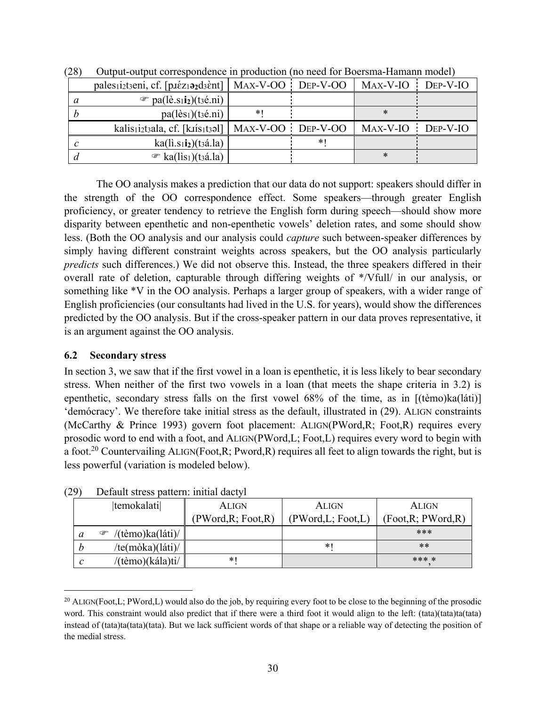| pales <sub>1</sub> i <sub>2t3</sub> eni, cf. [p <i>i</i> $\epsilon$ z <sub>1</sub> <b>ə</b> <sub>2</sub> d <sub>3</sub> $\grave{\epsilon}$ nt] | $MAX-V-OO$        | $Dep-V-OO$ | MAX-V-IO          | $DEP-V-IO$ |
|------------------------------------------------------------------------------------------------------------------------------------------------|-------------------|------------|-------------------|------------|
| $\mathcal{F}$ pa(lè.s <sub>1</sub> i <sub>2</sub> )(t <sub>3</sub> é.ni)                                                                       |                   |            |                   |            |
| $pa(l\text{ès}_1)(ts\text{\'e}.ni)$                                                                                                            | *1                |            | ∗                 |            |
| kalisiiztaala, cf. [kiisitaal]                                                                                                                 | MAX-V-OO DEP-V-OO |            | MAX-V-IO DEP-V-IO |            |
| ka(1i.s1i <sub>2</sub> )(t3i.la)                                                                                                               |                   | $\ast$     |                   |            |
| $\mathcal{F}$ ka(lis <sub>1</sub> )(t <sub>3</sub> á.la)                                                                                       |                   |            | ∗                 |            |

(28) Output-output correspondence in production (no need for Boersma-Hamann model)

 The OO analysis makes a prediction that our data do not support: speakers should differ in the strength of the OO correspondence effect. Some speakers—through greater English proficiency, or greater tendency to retrieve the English form during speech—should show more disparity between epenthetic and non-epenthetic vowels' deletion rates, and some should show less. (Both the OO analysis and our analysis could *capture* such between-speaker differences by simply having different constraint weights across speakers, but the OO analysis particularly *predicts* such differences.) We did not observe this. Instead, the three speakers differed in their overall rate of deletion, capturable through differing weights of \*/Vfull/ in our analysis, or something like \*V in the OO analysis. Perhaps a larger group of speakers, with a wider range of English proficiencies (our consultants had lived in the U.S. for years), would show the differences predicted by the OO analysis. But if the cross-speaker pattern in our data proves representative, it is an argument against the OO analysis.

# **6.2 Secondary stress**

 $\overline{a}$ 

In section 3, we saw that if the first vowel in a loan is epenthetic, it is less likely to bear secondary stress. When neither of the first two vowels in a loan (that meets the shape criteria in 3.2) is epenthetic, secondary stress falls on the first vowel 68% of the time, as in [(tèmo)ka(láti)] 'demócracy'. We therefore take initial stress as the default, illustrated in (29). ALIGN constraints (McCarthy & Prince 1993) govern foot placement: ALIGN(PWord,R; Foot,R) requires every prosodic word to end with a foot, and ALIGN(PWord,L; Foot,L) requires every word to begin with a foot.<sup>20</sup> Countervailing ALIGN(Foot, R; Pword, R) requires all feet to align towards the right, but is less powerful (variation is modeled below).

|   | temokalati            | ALIGN               | <b>ALIGN</b>        | ALIGN               |
|---|-----------------------|---------------------|---------------------|---------------------|
|   |                       | (PWord, R; Foot, R) | (PWord, L; Foot, L) | (Foot, R; PWord, R) |
| a | /(tèmo)ka(láti)/<br>☞ |                     |                     | ***                 |
|   | /te(mòka)(láti)/      |                     | *1                  | **                  |
| C | /(tèmo)(kála)ti/      | $*1$                |                     | *** *               |

(29) Default stress pattern: initial dactyl

<sup>&</sup>lt;sup>20</sup> ALIGN(Foot, L; PWord, L) would also do the job, by requiring every foot to be close to the beginning of the prosodic word. This constraint would also predict that if there were a third foot it would align to the left: (tata)(tata)ta(tata) instead of (tata)ta(tata)(tata). But we lack sufficient words of that shape or a reliable way of detecting the position of the medial stress.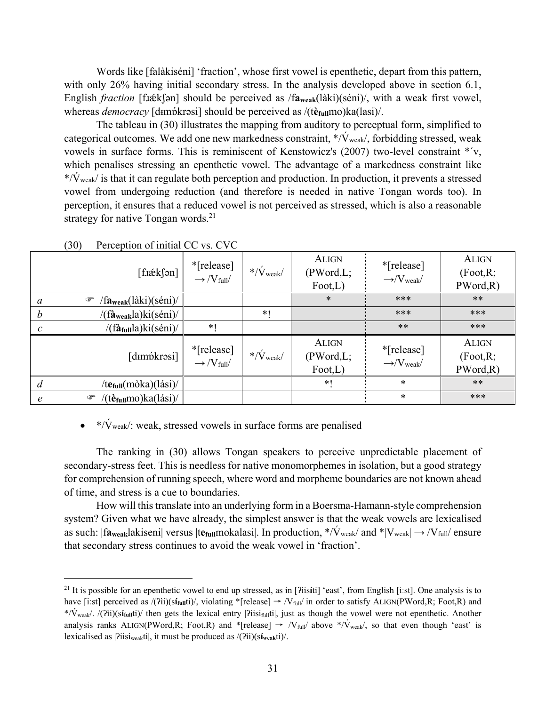Words like [falàkiséni] 'fraction', whose first vowel is epenthetic, depart from this pattern, with only 26% having initial secondary stress. In the analysis developed above in section 6.1, English *fraction* [f*x*ék[ən] should be perceived as /fa<sub>weak</sub>(làki)(séni)/, with a weak first vowel, whereas *democracy* [dɪmɒ́krəsi] should be perceived as /(tè<sub>full</sub>mo)ka(lasi)/.

The tableau in (30) illustrates the mapping from auditory to perceptual form, simplified to categorical outcomes. We add one new markedness constraint,  $\sqrt[n]{v_{\text{weak}}/v_{\text{total}}}$ , forbidding stressed, weak vowels in surface forms. This is reminiscent of Kenstowicz's (2007) two-level constraint \*ˊv, which penalises stressing an epenthetic vowel. The advantage of a markedness constraint like  $\frac{\partial f}{\partial x}$  is that it can regulate both perception and production. In production, it prevents a stressed vowel from undergoing reduction (and therefore is needed in native Tongan words too). In perception, it ensures that a reduced vowel is not perceived as stressed, which is also a reasonable strategy for native Tongan words. $21$ 

| $\lceil \text{fiæk} \rceil \rceil$                                               | *[release]<br>$\rightarrow$ /V <sub>full</sub> / | $*/\dot{V}_{weak}$         | <b>ALIGN</b><br>(PWord, L;<br>$\text{foot}, L$ | *[release]<br>$\rightarrow$ /V <sub>weak</sub> / | <b>ALIGN</b><br>(Foot, R;<br>PWord, R) |
|----------------------------------------------------------------------------------|--------------------------------------------------|----------------------------|------------------------------------------------|--------------------------------------------------|----------------------------------------|
| $/fa_{\text{weak}}$ (làki)(séni)/<br>☞<br>a                                      |                                                  |                            | $\ast$                                         | ***                                              | $***$                                  |
| /(fà <sub>weak</sub> la)ki(séni)/<br>$\boldsymbol{b}$                            |                                                  | $*1$                       |                                                | ***                                              | ***                                    |
| $/(\hat{\mathbf{a}}_{\text{full}} a)$ ki $(\hat{\text{semi}})/$<br>$\mathcal{C}$ | $*1$                                             |                            |                                                | $***$                                            | ***                                    |
| [dɪmɒ́krəsi]                                                                     | *[release]<br>$\rightarrow$ /V full              | $*/\dot{V}_{\text{weak}}/$ | <b>ALIGN</b><br>(PWord, L;<br>$\text{foot}, L$ | *[release]<br>$\rightarrow$ /V <sub>weak</sub> / | <b>ALIGN</b><br>(Foot, R;<br>PWord, R) |
| /te <sub>full</sub> (mòka)(lási)/<br>d                                           |                                                  |                            | $*$ (                                          | $\ast$                                           | $***$                                  |
| /(tè <sub>full</sub> mo) $ka(lási)$ /<br>$\circledast$<br>$\epsilon$             |                                                  |                            |                                                | $\ast$                                           | ***                                    |

(30) Perception of initial CC vs. CVC

1

# •  $\angle\sqrt{\hat{V}_{\text{weak}}}$ : weak, stressed vowels in surface forms are penalised

 The ranking in (30) allows Tongan speakers to perceive unpredictable placement of secondary-stress feet. This is needless for native monomorphemes in isolation, but a good strategy for comprehension of running speech, where word and morpheme boundaries are not known ahead of time, and stress is a cue to boundaries.

How will this translate into an underlying form in a Boersma-Hamann-style comprehension system? Given what we have already, the simplest answer is that the weak vowels are lexicalised as such:  $|f_{\text{Aweak}}|$ akiseni $|v_{\text{Cous}}|$  versus  $|t_{\text{Coul}}|$  in production,  $\sqrt[n]{v_{\text{weak}}}/$  and  $\sqrt[n]{v_{\text{weak}}}/\rightarrow$  / $V_{\text{full}}/$  ensure that secondary stress continues to avoid the weak vowel in 'fraction'.

<sup>21</sup> It is possible for an epenthetic vowel to end up stressed, as in [ʔìis**í**ti] 'east', from English [iːst]. One analysis is to have [iːst] perceived as /(?ii)(sínuti)/, violating \*[release] → /V<sub>full</sub>/ in order to satisfy ALIGN(PWord,R; Foot,R) and \*/V́weak/. /(ʔìi)(s**ífull**ti)/ then gets the lexical entry |ʔiisifullti|, just as though the vowel were not epenthetic. Another analysis ranks ALIGN(PWord,R; Foot,R) and \*[release]  $\rightarrow$  /V<sub>full</sub>/ above \*/V<sub>weak</sub>/, so that even though 'east' is lexicalised as |ʔiisiweakti|, it must be produced as /(ʔìi)(s**íweak**ti)/.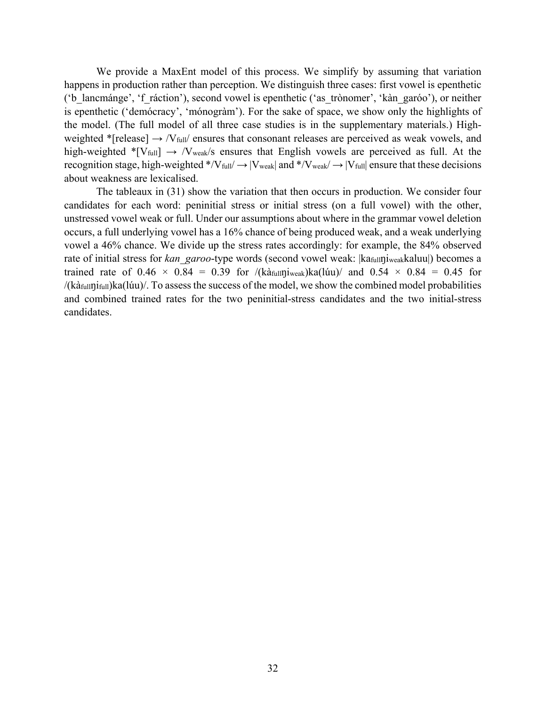We provide a MaxEnt model of this process. We simplify by assuming that variation happens in production rather than perception. We distinguish three cases: first vowel is epenthetic ('b\_lancmánge', 'f\_ráction'), second vowel is epenthetic ('as\_trònomer', 'kàn\_garóo'), or neither is epenthetic ('demócracy', 'mónogràm'). For the sake of space, we show only the highlights of the model. (The full model of all three case studies is in the supplementary materials.) Highweighted \*[release]  $\rightarrow$  /V<sub>full</sub>/ ensures that consonant releases are perceived as weak vowels, and high-weighted  $\text{*}$ [V<sub>full</sub>]  $\rightarrow$  /V<sub>weak</sub>/s ensures that English vowels are perceived as full. At the recognition stage, high-weighted \*/V<sub>full</sub>/  $\rightarrow$  |V<sub>weak</sub>| and \*/V<sub>weak</sub>/  $\rightarrow$  |V<sub>full</sub>| ensure that these decisions about weakness are lexicalised.

The tableaux in (31) show the variation that then occurs in production. We consider four candidates for each word: peninitial stress or initial stress (on a full vowel) with the other, unstressed vowel weak or full. Under our assumptions about where in the grammar vowel deletion occurs, a full underlying vowel has a 16% chance of being produced weak, and a weak underlying vowel a 46% chance. We divide up the stress rates accordingly: for example, the 84% observed rate of initial stress for *kan\_garoo*-type words (second vowel weak: |kafullniweakkaluu|) becomes a trained rate of  $0.46 \times 0.84 = 0.39$  for /(kàfullniweak)ka(lúu)/ and  $0.54 \times 0.84 = 0.45$  for /(kàfullŋifull)ka(lúu)/. To assess the success of the model, we show the combined model probabilities and combined trained rates for the two peninitial-stress candidates and the two initial-stress candidates.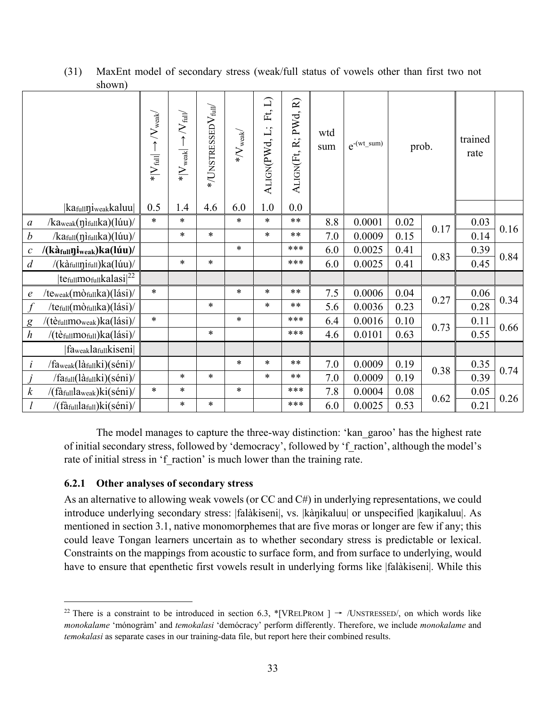|                  | SHOWIL)                                                                                                                                                                                                                                                                                                                                                                                                                                                                                                                                                                                                                                                                                                                                                                                                                                                                                                                                                                                                                                                                                           |                                                   |                                                       |                                     |                                    |                      |                      |            |                  |       |      |      |      |                 |  |
|------------------|---------------------------------------------------------------------------------------------------------------------------------------------------------------------------------------------------------------------------------------------------------------------------------------------------------------------------------------------------------------------------------------------------------------------------------------------------------------------------------------------------------------------------------------------------------------------------------------------------------------------------------------------------------------------------------------------------------------------------------------------------------------------------------------------------------------------------------------------------------------------------------------------------------------------------------------------------------------------------------------------------------------------------------------------------------------------------------------------------|---------------------------------------------------|-------------------------------------------------------|-------------------------------------|------------------------------------|----------------------|----------------------|------------|------------------|-------|------|------|------|-----------------|--|
|                  |                                                                                                                                                                                                                                                                                                                                                                                                                                                                                                                                                                                                                                                                                                                                                                                                                                                                                                                                                                                                                                                                                                   | $*$ $ V_{\rm full}  \rightarrow$ $ V_{\rm weak} $ | $*$ $ V_{\text{weak}}  \rightarrow  V_{\text{full}} $ | $*/$ UNSTRESSED $\rm V_{\rm full}/$ | $\ast/\mathrm{V}_{\mathrm{weak}}/$ | ALIGN(PWd, L; Ft, L) | ALIGN(Ft, R; PWd, R) | wtd<br>sum | $e^{-(wt\_sum)}$ | prob. |      |      |      | trained<br>rate |  |
|                  | kafullniweakkaluu                                                                                                                                                                                                                                                                                                                                                                                                                                                                                                                                                                                                                                                                                                                                                                                                                                                                                                                                                                                                                                                                                 | 0.5                                               | 1.4                                                   | 4.6                                 | 6.0                                | $1.0\,$              | 0.0                  |            |                  |       |      |      |      |                 |  |
| $\boldsymbol{a}$ | /kaweak(nifullka)(lúu)/                                                                                                                                                                                                                                                                                                                                                                                                                                                                                                                                                                                                                                                                                                                                                                                                                                                                                                                                                                                                                                                                           | $\ast$                                            | $\ast$                                                |                                     | $\ast$                             | $\ast$               | $***$                | 8.8        | 0.0001           | 0.02  |      | 0.03 |      |                 |  |
| $\boldsymbol{b}$ | /kafull(nifullka)(lúu)/                                                                                                                                                                                                                                                                                                                                                                                                                                                                                                                                                                                                                                                                                                                                                                                                                                                                                                                                                                                                                                                                           |                                                   | $\ast$                                                | $\ast$                              |                                    | $\ast$               | $***$                | 7.0        | 0.0009           | 0.15  | 0.17 | 0.14 | 0.16 |                 |  |
| $\mathcal C$     | /(kàfullniweak)ka(lúu)/                                                                                                                                                                                                                                                                                                                                                                                                                                                                                                                                                                                                                                                                                                                                                                                                                                                                                                                                                                                                                                                                           |                                                   |                                                       |                                     | $\ast$                             |                      | ***                  | 6.0        | 0.0025           | 0.41  |      | 0.39 | 0.84 |                 |  |
| $\overline{d}$   | /(kàfullnifull)ka(lúu)/                                                                                                                                                                                                                                                                                                                                                                                                                                                                                                                                                                                                                                                                                                                                                                                                                                                                                                                                                                                                                                                                           |                                                   | $\ast$                                                | $\ast$                              |                                    |                      | ***                  | 6.0        | 0.0025           | 0.41  | 0.83 | 0.45 |      |                 |  |
|                  | te $_{\text{full}$ mo $_{\text{full}}$ kalasi $ ^{22}$                                                                                                                                                                                                                                                                                                                                                                                                                                                                                                                                                                                                                                                                                                                                                                                                                                                                                                                                                                                                                                            |                                                   |                                                       |                                     |                                    |                      |                      |            |                  |       |      |      |      |                 |  |
| $\boldsymbol{e}$ | /teweak(mòfullka)(lási)/                                                                                                                                                                                                                                                                                                                                                                                                                                                                                                                                                                                                                                                                                                                                                                                                                                                                                                                                                                                                                                                                          | $\ast$                                            |                                                       |                                     | $\ast$                             | $\ast$               | $***$                | $7.5$      | 0.0006           | 0.04  |      | 0.06 |      |                 |  |
| $\int$           | /tefull(mòfullka)(lási)/                                                                                                                                                                                                                                                                                                                                                                                                                                                                                                                                                                                                                                                                                                                                                                                                                                                                                                                                                                                                                                                                          |                                                   |                                                       | $\ast$                              |                                    | $\ast$               | $***$                | 5.6        | 0.0036           | 0.23  | 0.27 | 0.28 | 0.34 |                 |  |
| $\mathbf{g}$     | /(tèfullmoweak)ka(lási)/                                                                                                                                                                                                                                                                                                                                                                                                                                                                                                                                                                                                                                                                                                                                                                                                                                                                                                                                                                                                                                                                          | $\ast$                                            |                                                       |                                     | $\ast$                             |                      | ***                  | 6.4        | 0.0016           | 0.10  |      | 0.11 |      |                 |  |
| $\boldsymbol{h}$ | /(tèfullmofull)ka(lási)/                                                                                                                                                                                                                                                                                                                                                                                                                                                                                                                                                                                                                                                                                                                                                                                                                                                                                                                                                                                                                                                                          |                                                   |                                                       | $\ast$                              |                                    |                      | ***                  | 4.6        | 0.0101           | 0.63  | 0.73 | 0.55 | 0.66 |                 |  |
|                  | faweaklafullkiseni                                                                                                                                                                                                                                                                                                                                                                                                                                                                                                                                                                                                                                                                                                                                                                                                                                                                                                                                                                                                                                                                                |                                                   |                                                       |                                     |                                    |                      |                      |            |                  |       |      |      |      |                 |  |
| $\dot{i}$        | /faweak(làfullki)(séni)/                                                                                                                                                                                                                                                                                                                                                                                                                                                                                                                                                                                                                                                                                                                                                                                                                                                                                                                                                                                                                                                                          |                                                   |                                                       |                                     | $\ast$                             | $\ast$               | $***$                | 7.0        | 0.0009           | 0.19  |      | 0.35 |      |                 |  |
| $\dot{I}$        | /fafull(làfullki)(séni)/                                                                                                                                                                                                                                                                                                                                                                                                                                                                                                                                                                                                                                                                                                                                                                                                                                                                                                                                                                                                                                                                          |                                                   | $\ast$                                                | $\ast$                              |                                    | $\ast$               | $***$                | 7.0        | 0.0009           | 0.19  | 0.38 | 0.39 | 0.74 |                 |  |
| $\boldsymbol{k}$ | /(fàfulllaweak)ki(séni)/                                                                                                                                                                                                                                                                                                                                                                                                                                                                                                                                                                                                                                                                                                                                                                                                                                                                                                                                                                                                                                                                          | $\ast$                                            | $\ast$                                                |                                     | $\ast$                             |                      | ***                  | 7.8        | 0.0004           | 0.08  |      | 0.05 |      |                 |  |
| $\mathfrak l$    | /(fàfulllafull)ki(séni)/                                                                                                                                                                                                                                                                                                                                                                                                                                                                                                                                                                                                                                                                                                                                                                                                                                                                                                                                                                                                                                                                          |                                                   | $\ast$                                                | $\ast$                              |                                    |                      | ***                  | 6.0        | 0.0025           | 0.53  | 0.62 | 0.21 | 0.26 |                 |  |
|                  | The model manages to capture the three-way distinction: 'kan garoo' has the highest rate<br>of initial secondary stress, followed by 'democracy', followed by 'f_raction', although the model's<br>rate of initial stress in 'f_raction' is much lower than the training rate.<br>Other analyses of secondary stress<br>6.2.1<br>As an alternative to allowing weak vowels (or CC and C#) in underlying representations, we could<br>introduce underlying secondary stress:  falàkiseni , vs.  kàŋikaluu  or unspecified  kaŋikaluu . As<br>mentioned in section 3.1, native monomorphemes that are five moras or longer are few if any; this<br>could leave Tongan learners uncertain as to whether secondary stress is predictable or lexical.<br>Constraints on the mappings from acoustic to surface form, and from surface to underlying, would<br>have to ensure that epenthetic first vowels result in underlying forms like  falàkiseni . While this<br><sup>22</sup> There is a constraint to be introduced in section 6.3, *[VRELPROM ] $\rightarrow$ /UNSTRESSED/, on which words like |                                                   |                                                       |                                     |                                    |                      |                      |            |                  |       |      |      |      |                 |  |
|                  | monokalame 'mónogràm' and temokalasi 'demócracy' perform differently. Therefore, we include monokalame and<br>temokalasi as separate cases in our training-data file, but report here their combined results.                                                                                                                                                                                                                                                                                                                                                                                                                                                                                                                                                                                                                                                                                                                                                                                                                                                                                     |                                                   |                                                       |                                     |                                    |                      |                      |            |                  |       |      |      |      |                 |  |

(31) MaxEnt model of secondary stress (weak/full status of vowels other than first two not shown)

# **6.2.1 Other analyses of secondary stress**

<sup>&</sup>lt;sup>22</sup> There is a constraint to be introduced in section 6.3, \*[VRELPROM ]  $\rightarrow$  /UNSTRESSED/, on which words like *monokalame* 'mónogràm' and *temokalasi* 'demócracy' perform differently. Therefore, we include *monokalame* and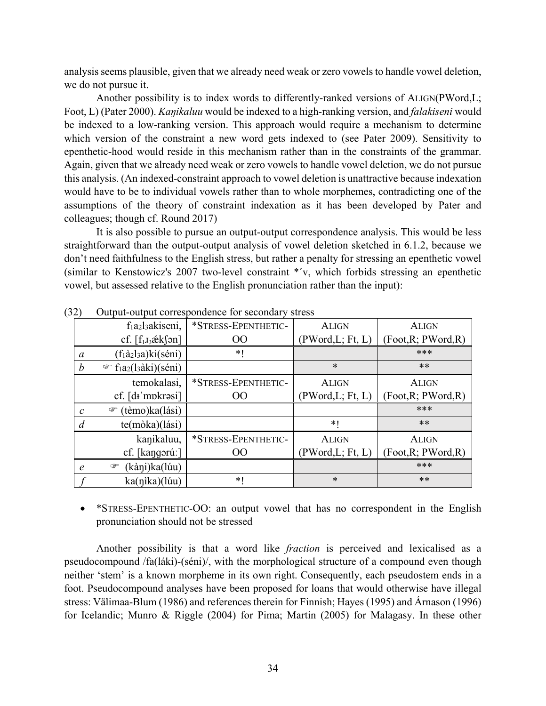analysis seems plausible, given that we already need weak or zero vowels to handle vowel deletion, we do not pursue it.

Another possibility is to index words to differently-ranked versions of ALIGN(PWord,L; Foot, L) (Pater 2000). *Kaŋikaluu* would be indexed to a high-ranking version, and *falakiseni* would be indexed to a low-ranking version. This approach would require a mechanism to determine which version of the constraint a new word gets indexed to (see Pater 2009). Sensitivity to epenthetic-hood would reside in this mechanism rather than in the constraints of the grammar. Again, given that we already need weak or zero vowels to handle vowel deletion, we do not pursue this analysis. (An indexed-constraint approach to vowel deletion is unattractive because indexation would have to be to individual vowels rather than to whole morphemes, contradicting one of the assumptions of the theory of constraint indexation as it has been developed by Pater and colleagues; though cf. Round 2017)

 It is also possible to pursue an output-output correspondence analysis. This would be less straightforward than the output-output analysis of vowel deletion sketched in 6.1.2, because we don't need faithfulness to the English stress, but rather a penalty for stressing an epenthetic vowel (similar to Kenstowicz's 2007 two-level constraint \*ˊv, which forbids stressing an epenthetic vowel, but assessed relative to the English pronunciation rather than the input):

|                | f <sub>1</sub> a <sub>2</sub> l <sub>3</sub> akiseni,    | *STRESS-EPENTHETIC- | <b>ALIGN</b>      | <b>ALIGN</b>        |
|----------------|----------------------------------------------------------|---------------------|-------------------|---------------------|
|                | cf. $[f_1J_3\not\in k\mathfrak{f}$ ən]                   | 00                  | (PWord,L; Ft, L)  | (Foot, R; PWord, R) |
| a              | (f <sub>1</sub> à <sub>2</sub> l <sub>3</sub> a)ki(séni) | $*1$                |                   | ***                 |
| b              | <sup>T</sup> f <sub>1</sub> a <sub>2</sub> (l3àki)(séni) |                     | $\ast$            | $***$               |
|                | temokalasi,                                              | *STRESS-EPENTHETIC- | <b>ALIGN</b>      | <b>ALIGN</b>        |
|                | cf. [di mpkrasi]                                         | OO                  | (PWord, L; Ft, L) | (Foot, R; PWord, R) |
| $\mathcal{C}$  | (tèmo)ka(lási)<br>$\circledcirc$                         |                     |                   | ***                 |
| $\overline{d}$ | te(mòka)(lási)                                           |                     | $*$ (             | $***$               |
|                | kanikaluu,                                               | *STRESS-EPENTHETIC- | <b>ALIGN</b>      | <b>ALIGN</b>        |
|                | cf. [kangərúː]                                           | <sub>OO</sub>       | (PWord,L; Ft, L)  | (Foot, R; PWord, R) |
| $\epsilon$     | (kàni)ka(lúu)<br>☞                                       |                     |                   | ***                 |
|                | ka(nika)(lúu)                                            | $*1$                | $\ast$            | $***$               |

(32) Output-output correspondence for secondary stress

• \*STRESS-EPENTHETIC-OO: an output vowel that has no correspondent in the English pronunciation should not be stressed

 Another possibility is that a word like *fraction* is perceived and lexicalised as a pseudocompound /fa(láki)-(séni)/, with the morphological structure of a compound even though neither 'stem' is a known morpheme in its own right. Consequently, each pseudostem ends in a foot. Pseudocompound analyses have been proposed for loans that would otherwise have illegal stress: Välimaa-Blum (1986) and references therein for Finnish; Hayes (1995) and Árnason (1996) for Icelandic; Munro & Riggle (2004) for Pima; Martin (2005) for Malagasy. In these other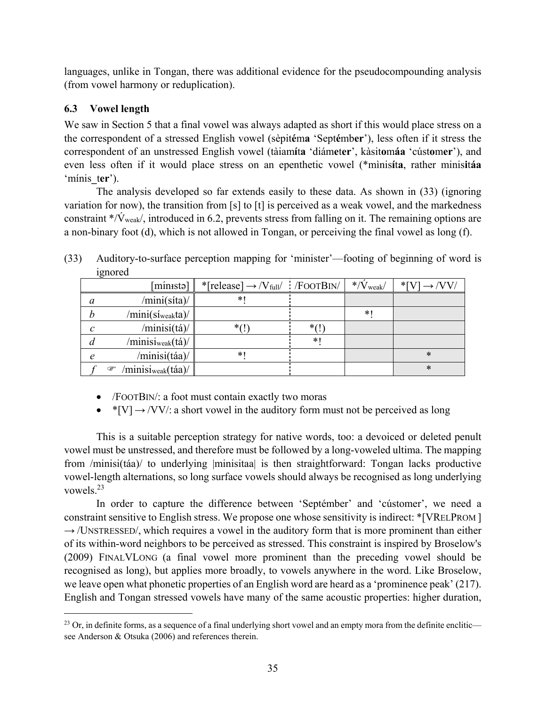languages, unlike in Tongan, there was additional evidence for the pseudocompounding analysis (from vowel harmony or reduplication).

# **6.3 Vowel length**

1

We saw in Section 5 that a final vowel was always adapted as short if this would place stress on a the correspondent of a stressed English vowel (sèpit**é**m**a** 'Sept**é**mb**er**'), less often if it stress the correspondent of an unstressed English vowel (tàiam**í**t**a** 'diám**e**t**er**', kàsit**o**m**áa** 'cúst**o**m**er**'), and even less often if it would place stress on an epenthetic vowel (\*mìnis**í**t**a**, rather minis**i**t**áa** 'mínis**\_**t**er**').

 The analysis developed so far extends easily to these data. As shown in (33) (ignoring variation for now), the transition from [s] to [t] is perceived as a weak vowel, and the markedness constraint  $\sqrt{\nu_{\text{weak}}/T}$ , introduced in 6.2, prevents stress from falling on it. The remaining options are a non-binary foot (d), which is not allowed in Tongan, or perceiving the final vowel as long (f).

|   | $15101$ vu                          |                                                         |        |                                                     |                            |
|---|-------------------------------------|---------------------------------------------------------|--------|-----------------------------------------------------|----------------------------|
|   | mínista]                            | *[release] $\rightarrow$ /V <sub>full</sub> / /FOOTBIN/ |        | $\frac{\mathrm{d}^{*}}{\mathrm{V}_{\mathrm{weak}}}$ | $*$ [V] $\rightarrow$ /VV/ |
| a | /mini(síta)/                        | $*1$                                                    |        |                                                     |                            |
|   | /mini(sí <sub>weak</sub> ta)/       |                                                         |        | $*1$                                                |                            |
| C | /minisi(tá)/                        | $*(!$                                                   | $*(!)$ |                                                     |                            |
| a | /minisi <sub>weak</sub> (tá)/       |                                                         | $\ast$ |                                                     |                            |
| e | /minisi(táa)/                       | $*1$                                                    |        |                                                     | $\ast$                     |
|   | /minisi <sub>weak</sub> (táa)/<br>œ |                                                         |        |                                                     | $\ast$                     |

(33) Auditory-to-surface perception mapping for 'minister'—footing of beginning of word is ignored

- /FOOTBIN/: a foot must contain exactly two moras
- $^*$ [V]  $\rightarrow$  /VV/: a short vowel in the auditory form must not be perceived as long

This is a suitable perception strategy for native words, too: a devoiced or deleted penult vowel must be unstressed, and therefore must be followed by a long-voweled ultima. The mapping from /minisi(táa)/ to underlying |minisitaa| is then straightforward: Tongan lacks productive vowel-length alternations, so long surface vowels should always be recognised as long underlying vowels.23

In order to capture the difference between 'Septémber' and 'cústomer', we need a constraint sensitive to English stress. We propose one whose sensitivity is indirect: \*[VRELPROM ]  $\rightarrow$  /UNSTRESSED/, which requires a vowel in the auditory form that is more prominent than either of its within-word neighbors to be perceived as stressed. This constraint is inspired by Broselow's (2009) FINALVLONG (a final vowel more prominent than the preceding vowel should be recognised as long), but applies more broadly, to vowels anywhere in the word. Like Broselow, we leave open what phonetic properties of an English word are heard as a 'prominence peak' (217). English and Tongan stressed vowels have many of the same acoustic properties: higher duration,

<sup>&</sup>lt;sup>23</sup> Or, in definite forms, as a sequence of a final underlying short vowel and an empty mora from the definite enclitic see Anderson & Otsuka (2006) and references therein.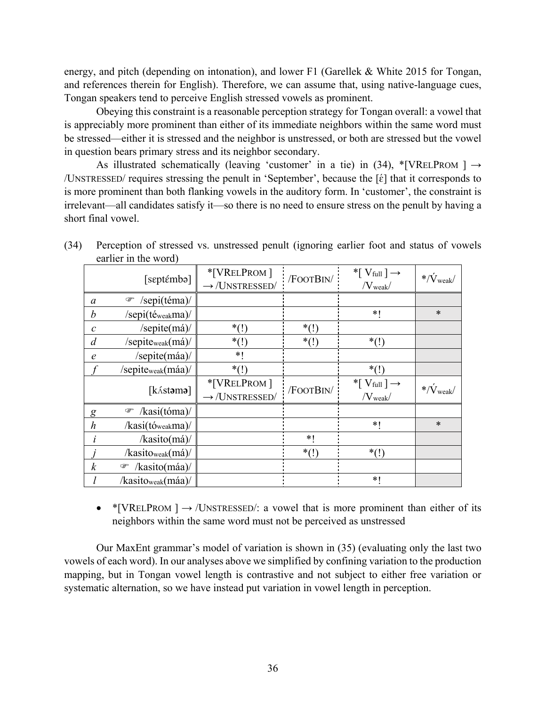energy, and pitch (depending on intonation), and lower F1 (Garellek & White 2015 for Tongan, and references therein for English). Therefore, we can assume that, using native-language cues, Tongan speakers tend to perceive English stressed vowels as prominent.

Obeying this constraint is a reasonable perception strategy for Tongan overall: a vowel that is appreciably more prominent than either of its immediate neighbors within the same word must be stressed—either it is stressed and the neighbor is unstressed, or both are stressed but the vowel in question bears primary stress and its neighbor secondary.

As illustrated schematically (leaving 'customer' in a tie) in (34), \*[VRELPROM ]  $\rightarrow$ /UNSTRESSED/ requires stressing the penult in 'September', because the [ɛ́ ] that it corresponds to is more prominent than both flanking vowels in the auditory form. In 'customer', the constraint is irrelevant—all candidates satisfy it—so there is no need to ensure stress on the penult by having a short final vowel.

|                  | [septémbə]                           | *[VRELPROM]<br>$\rightarrow$ /UNSTRESSED/ | /FOOTBIN/ | *[ $V_{full}$ ] $\rightarrow$<br>$/V_{\text{weak}}/$ | $*/\dot{V}_{weak}$ |
|------------------|--------------------------------------|-------------------------------------------|-----------|------------------------------------------------------|--------------------|
| $\alpha$         | /sepi(téma)/<br>P                    |                                           |           |                                                      |                    |
| b                | /sepi(téweakma)/                     |                                           |           | $*1$                                                 | $\ast$             |
| $\mathcal C$     | /sepite(má)/                         | $*(!)$                                    | $*(!)$    |                                                      |                    |
| $\overline{d}$   | /sepite <sub>weak</sub> (má)/        | $*(!)$                                    | $*(!)$    | $*(!)$                                               |                    |
| $\epsilon$       | /sepite(máa)/                        | $*1$                                      |           |                                                      |                    |
|                  | /sepiteweak(máa)/                    | $*(!)$                                    |           | $*(!)$                                               |                    |
|                  | [kást <b>əmə</b> ]                   | *[VRELPROM]<br>$\rightarrow$ /UNSTRESSED/ | /FOOTBIN/ | *[ $V_{full}$ ] $\rightarrow$<br>$/V_{weak}$         | $*/\dot{V}_{weak}$ |
| g                | $\mathcal{F}$ /kasi(tóma)/           |                                           |           |                                                      |                    |
| $\boldsymbol{h}$ | /kasi(tóweakma)/                     |                                           |           | $*$ (                                                | $\ast$             |
| i                | /kasito(má)/                         |                                           | $*1$      |                                                      |                    |
|                  | $\ell$ kasito <sub>weak</sub> $(má)$ |                                           | $*(!)$    | $*(!)$                                               |                    |
| $\boldsymbol{k}$ | /kasito(máa)/<br>☞                   |                                           |           |                                                      |                    |
|                  | /kasitoweak(máa)/                    |                                           |           | *1                                                   |                    |

(34) Perception of stressed vs. unstressed penult (ignoring earlier foot and status of vowels earlier in the word)

• \*[VRELPROM ]  $\rightarrow$  /UNSTRESSED/: a vowel that is more prominent than either of its neighbors within the same word must not be perceived as unstressed

Our MaxEnt grammar's model of variation is shown in (35) (evaluating only the last two vowels of each word). In our analyses above we simplified by confining variation to the production mapping, but in Tongan vowel length is contrastive and not subject to either free variation or systematic alternation, so we have instead put variation in vowel length in perception.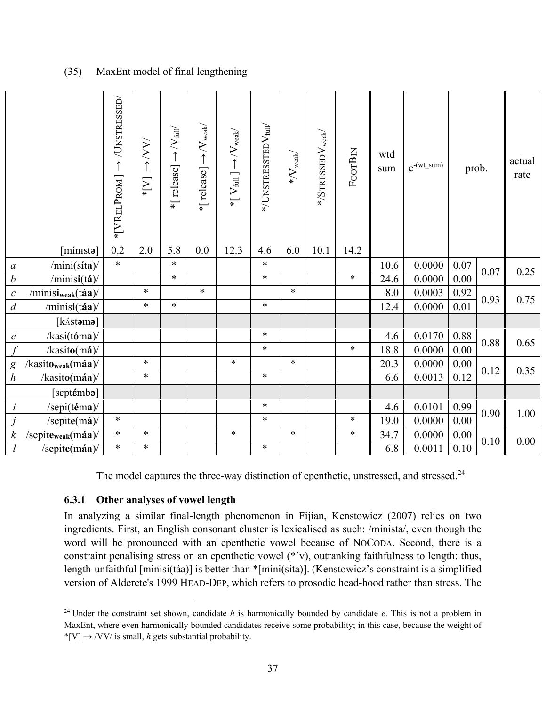# (35) MaxEnt model of final lengthening

|                                                                                                                                                                                                                                                                                                                                                                                                                                                                                                                                                                                                                                                                                                                                                                                                                                                                                                                                                                                                                                                                                    | *[VRELPROM] $\rightarrow$ /UNSTRESSED/ | $\rightarrow$ XV<br>$\sum_{i=1}^{k}$ | *[ release] $\rightarrow$ /V full/ | *[ release] $\rightarrow$ /V $_{\text{weak}}$ | $*[\, \mathrm{V}_{\mathrm{full}}\,] \rightarrow \! \mathrm{V}_{\mathrm{weak}}$ | $*$ /UNSTRESSTED $\rm V_{\rm full}/$ | $\ast/\mathrm{V}_{\mathrm{weak}}/$ | $*$ /STRESSED $\rm V_{weak}$ | FOOTBIN | wtd<br>sum  | $e^{-(wt\_sum)}$ | prob.        |      | actual<br>rate |
|------------------------------------------------------------------------------------------------------------------------------------------------------------------------------------------------------------------------------------------------------------------------------------------------------------------------------------------------------------------------------------------------------------------------------------------------------------------------------------------------------------------------------------------------------------------------------------------------------------------------------------------------------------------------------------------------------------------------------------------------------------------------------------------------------------------------------------------------------------------------------------------------------------------------------------------------------------------------------------------------------------------------------------------------------------------------------------|----------------------------------------|--------------------------------------|------------------------------------|-----------------------------------------------|--------------------------------------------------------------------------------|--------------------------------------|------------------------------------|------------------------------|---------|-------------|------------------|--------------|------|----------------|
| $\lceil$ mín $\text{tsto}\rceil$                                                                                                                                                                                                                                                                                                                                                                                                                                                                                                                                                                                                                                                                                                                                                                                                                                                                                                                                                                                                                                                   | 0.2<br>$\ast$                          | 2.0                                  | 5.8<br>$\ast$                      | 0.0                                           | 12.3                                                                           | 4.6<br>$\ast$                        | 6.0                                | 10.1                         | 14.2    |             |                  |              |      |                |
| /min(sita)<br>a                                                                                                                                                                                                                                                                                                                                                                                                                                                                                                                                                                                                                                                                                                                                                                                                                                                                                                                                                                                                                                                                    |                                        |                                      | $\ast$                             |                                               |                                                                                | $\ast$                               |                                    |                              | $\ast$  | 10.6        | 0.0000           | 0.07         | 0.07 | 0.25           |
| $\boldsymbol{b}$<br>$/$ minisi $(ta)/$                                                                                                                                                                                                                                                                                                                                                                                                                                                                                                                                                                                                                                                                                                                                                                                                                                                                                                                                                                                                                                             |                                        | $\ast$                               |                                    | $\ast$                                        |                                                                                |                                      | $\ast$                             |                              |         | 24.6        | 0.0000           | 0.00         |      |                |
| $/$ minisi <sub>weak</sub> $(t$ áa $)/$<br>$\mathcal C$<br>$\overline{d}$                                                                                                                                                                                                                                                                                                                                                                                                                                                                                                                                                                                                                                                                                                                                                                                                                                                                                                                                                                                                          |                                        | $\ast$                               | $\ast$                             |                                               |                                                                                | $\ast$                               |                                    |                              |         | 8.0<br>12.4 | 0.0003<br>0.0000 | 0.92<br>0.01 | 0.93 | 0.75           |
| /minisi(táa)/<br>[kást <b>əmə</b> ]                                                                                                                                                                                                                                                                                                                                                                                                                                                                                                                                                                                                                                                                                                                                                                                                                                                                                                                                                                                                                                                |                                        |                                      |                                    |                                               |                                                                                |                                      |                                    |                              |         |             |                  |              |      |                |
| /kasi(tóma)                                                                                                                                                                                                                                                                                                                                                                                                                                                                                                                                                                                                                                                                                                                                                                                                                                                                                                                                                                                                                                                                        |                                        |                                      |                                    |                                               |                                                                                | $\ast$                               |                                    |                              |         | 4.6         | 0.0170           | 0.88         | 0.88 | 0.65           |
| $\boldsymbol{e}$<br>$\mathcal{f}$<br>$\frac{\pi}{3}$                                                                                                                                                                                                                                                                                                                                                                                                                                                                                                                                                                                                                                                                                                                                                                                                                                                                                                                                                                                                                               |                                        |                                      |                                    |                                               |                                                                                | $\ast$                               |                                    |                              | $\ast$  | 18.8        | 0.0000           | 0.00         |      |                |
| /kasito <sub>weak</sub> (máa)/                                                                                                                                                                                                                                                                                                                                                                                                                                                                                                                                                                                                                                                                                                                                                                                                                                                                                                                                                                                                                                                     |                                        | $\ast$                               |                                    |                                               | $\ast$                                                                         |                                      | $\ast$                             |                              |         | 20.3        | 0.0000           | 0.00         |      | 0.35           |
| $\mathcal{g}$<br>$\boldsymbol{h}$<br>$\frac{1}{\sqrt{2}}$ /kasito(máa)/                                                                                                                                                                                                                                                                                                                                                                                                                                                                                                                                                                                                                                                                                                                                                                                                                                                                                                                                                                                                            |                                        | $\ast$                               |                                    |                                               |                                                                                | $\ast$                               |                                    |                              |         | 6.6         | 0.0013           | 0.12         | 0.12 |                |
| [sɛpt <b>ɛ́mbə</b> ]                                                                                                                                                                                                                                                                                                                                                                                                                                                                                                                                                                                                                                                                                                                                                                                                                                                                                                                                                                                                                                                               |                                        |                                      |                                    |                                               |                                                                                |                                      |                                    |                              |         |             |                  |              |      |                |
| /sepi(téma)/<br>$\dot{l}$                                                                                                                                                                                                                                                                                                                                                                                                                                                                                                                                                                                                                                                                                                                                                                                                                                                                                                                                                                                                                                                          |                                        |                                      |                                    |                                               |                                                                                | $\ast$                               |                                    |                              |         | 4.6         | 0.0101           | 0.99         |      | 1.00           |
| /sepite $(m\acute{a})$ /                                                                                                                                                                                                                                                                                                                                                                                                                                                                                                                                                                                                                                                                                                                                                                                                                                                                                                                                                                                                                                                           | $\ast$                                 |                                      |                                    |                                               |                                                                                | $\ast$                               |                                    |                              | $\ast$  | 19.0        | 0.0000           | 0.00         | 0.90 |                |
| $\boldsymbol{k}$<br>/sepite <sub>weak</sub> (máa)/                                                                                                                                                                                                                                                                                                                                                                                                                                                                                                                                                                                                                                                                                                                                                                                                                                                                                                                                                                                                                                 | $\ast$                                 | $\ast$                               |                                    |                                               | $\ast$                                                                         |                                      | $\ast$                             |                              | $\ast$  | 34.7        | 0.0000           | 0.00         |      |                |
| $\iota$<br>/sepite $(m\acute{a}a)$                                                                                                                                                                                                                                                                                                                                                                                                                                                                                                                                                                                                                                                                                                                                                                                                                                                                                                                                                                                                                                                 | $\ast$                                 | $\ast$                               |                                    |                                               |                                                                                | $\ast$                               |                                    |                              |         | 6.8         | 0.0011           | $0.10\,$     | 0.10 | 0.00           |
| The model captures the three-way distinction of epenthetic, unstressed, and stressed. <sup>24</sup><br>6.3.1 Other analyses of vowel length<br>In analyzing a similar final-length phenomenon in Fijian, Kenstowicz (2007) relies on two<br>ingredients. First, an English consonant cluster is lexicalised as such: /minista/, even though the<br>word will be pronounced with an epenthetic vowel because of NOCODA. Second, there is a<br>constraint penalising stress on an epenthetic vowel (*'v), outranking faithfulness to length: thus,<br>length-unfaithful [minisi(táa)] is better than *[mini(sita)]. (Kenstowicz's constraint is a simplified<br>version of Alderete's 1999 HEAD-DEP, which refers to prosodic head-hood rather than stress. The<br>$24$ Under the constraint set shown, candidate h is harmonically bounded by candidate e. This is not a problem in<br>MaxEnt, where even harmonically bounded candidates receive some probability; in this case, because the weight of<br>*[V] $\rightarrow$ /VV/ is small, <i>h</i> gets substantial probability. |                                        |                                      |                                    |                                               |                                                                                |                                      |                                    |                              |         |             |                  |              |      |                |

# **6.3.1 Other analyses of vowel length**

<sup>&</sup>lt;sup>24</sup> Under the constraint set shown, candidate *h* is harmonically bounded by candidate *e*. This is not a problem in MaxEnt, where even harmonically bounded candidates receive some probability; in this case, because the weight of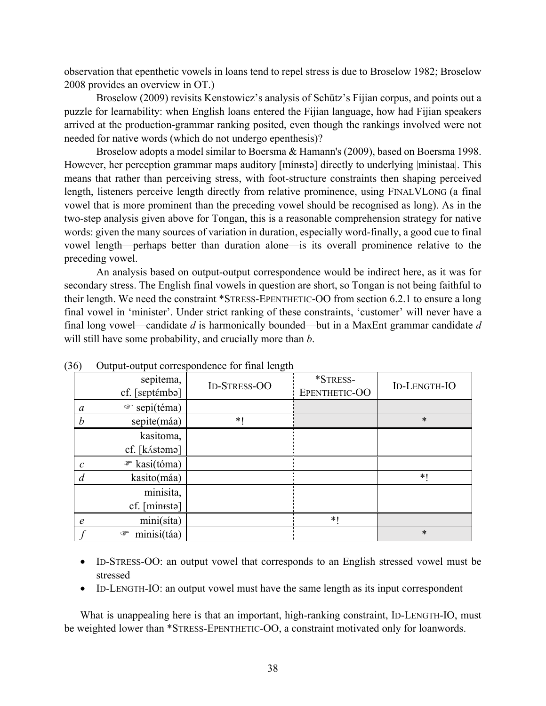observation that epenthetic vowels in loans tend to repel stress is due to Broselow 1982; Broselow 2008 provides an overview in OT.)

Broselow (2009) revisits Kenstowicz's analysis of Schütz's Fijian corpus, and points out a puzzle for learnability: when English loans entered the Fijian language, how had Fijian speakers arrived at the production-grammar ranking posited, even though the rankings involved were not needed for native words (which do not undergo epenthesis)?

Broselow adopts a model similar to Boersma & Hamann's (2009), based on Boersma 1998. However, her perception grammar maps auditory [mínista] directly to underlying |ministaa|. This means that rather than perceiving stress, with foot-structure constraints then shaping perceived length, listeners perceive length directly from relative prominence, using FINALVLONG (a final vowel that is more prominent than the preceding vowel should be recognised as long). As in the two-step analysis given above for Tongan, this is a reasonable comprehension strategy for native words: given the many sources of variation in duration, especially word-finally, a good cue to final vowel length—perhaps better than duration alone—is its overall prominence relative to the preceding vowel.

 An analysis based on output-output correspondence would be indirect here, as it was for secondary stress. The English final vowels in question are short, so Tongan is not being faithful to their length. We need the constraint \*STRESS-EPENTHETIC-OO from section 6.2.1 to ensure a long final vowel in 'minister'. Under strict ranking of these constraints, 'customer' will never have a final long vowel—candidate *d* is harmonically bounded—but in a MaxEnt grammar candidate *d* will still have some probability, and crucially more than *b*.

|                  | sepitema,<br>cf. [sɛptémbə] | <b>ID-STRESS-OO</b> | *STRESS-<br>EPENTHETIC-OO | <b>ID-LENGTH-IO</b> |
|------------------|-----------------------------|---------------------|---------------------------|---------------------|
| a                | ☞ sepi(téma)                |                     |                           |                     |
| $\boldsymbol{b}$ | sepite(máa)                 | $*1$                |                           | $\ast$              |
|                  | kasitoma,                   |                     |                           |                     |
|                  | cf. [kástəmə]               |                     |                           |                     |
| $\mathcal{C}$    | $\mathcal{F}$ kasi(tóma)    |                     |                           |                     |
| a                | kasito(máa)                 |                     |                           | $\ast$              |
|                  | minisita,                   |                     |                           |                     |
|                  | cf. [minista]               |                     |                           |                     |
| $\epsilon$       | mini(síta)                  |                     | *1                        |                     |
|                  | minisi(táa)<br>☞            |                     |                           | $\ast$              |

(36) Output-output correspondence for final length

- ID-STRESS-OO: an output vowel that corresponds to an English stressed vowel must be stressed
- ID-LENGTH-IO: an output vowel must have the same length as its input correspondent

What is unappealing here is that an important, high-ranking constraint, ID-LENGTH-IO, must be weighted lower than \*STRESS-EPENTHETIC-OO, a constraint motivated only for loanwords.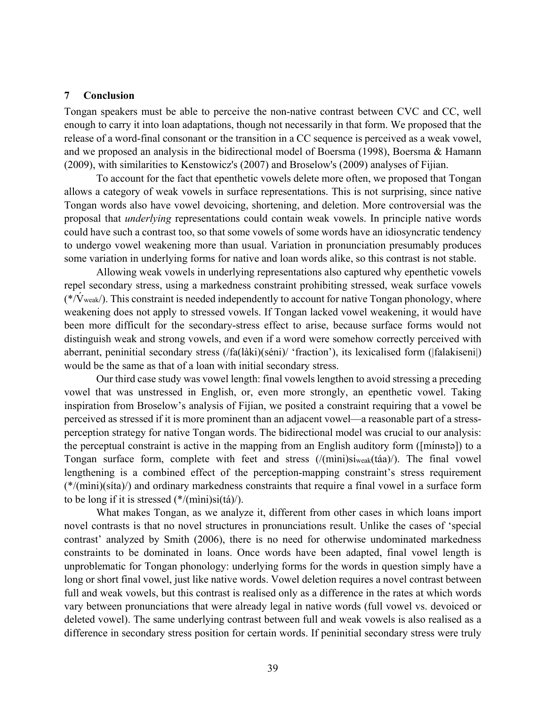#### **7 Conclusion**

Tongan speakers must be able to perceive the non-native contrast between CVC and CC, well enough to carry it into loan adaptations, though not necessarily in that form. We proposed that the release of a word-final consonant or the transition in a CC sequence is perceived as a weak vowel, and we proposed an analysis in the bidirectional model of Boersma (1998), Boersma & Hamann (2009), with similarities to Kenstowicz's (2007) and Broselow's (2009) analyses of Fijian.

 To account for the fact that epenthetic vowels delete more often, we proposed that Tongan allows a category of weak vowels in surface representations. This is not surprising, since native Tongan words also have vowel devoicing, shortening, and deletion. More controversial was the proposal that *underlying* representations could contain weak vowels. In principle native words could have such a contrast too, so that some vowels of some words have an idiosyncratic tendency to undergo vowel weakening more than usual. Variation in pronunciation presumably produces some variation in underlying forms for native and loan words alike, so this contrast is not stable.

 Allowing weak vowels in underlying representations also captured why epenthetic vowels repel secondary stress, using a markedness constraint prohibiting stressed, weak surface vowels  $(*/V_{weak})$ . This constraint is needed independently to account for native Tongan phonology, where weakening does not apply to stressed vowels. If Tongan lacked vowel weakening, it would have been more difficult for the secondary-stress effect to arise, because surface forms would not distinguish weak and strong vowels, and even if a word were somehow correctly perceived with aberrant, peninitial secondary stress (/fa(làki)(séni)/ 'fraction'), its lexicalised form (|falakiseni|) would be the same as that of a loan with initial secondary stress.

 Our third case study was vowel length: final vowels lengthen to avoid stressing a preceding vowel that was unstressed in English, or, even more strongly, an epenthetic vowel. Taking inspiration from Broselow's analysis of Fijian, we posited a constraint requiring that a vowel be perceived as stressed if it is more prominent than an adjacent vowel—a reasonable part of a stressperception strategy for native Tongan words. The bidirectional model was crucial to our analysis: the perceptual constraint is active in the mapping from an English auditory form ([minista]) to a Tongan surface form, complete with feet and stress (/(mìni)siweak(táa)/). The final vowel lengthening is a combined effect of the perception-mapping constraint's stress requirement (\*/(mìni)(síta)/) and ordinary markedness constraints that require a final vowel in a surface form to be long if it is stressed (\*/(mìni)si(tá)/).

 What makes Tongan, as we analyze it, different from other cases in which loans import novel contrasts is that no novel structures in pronunciations result. Unlike the cases of 'special contrast' analyzed by Smith (2006), there is no need for otherwise undominated markedness constraints to be dominated in loans. Once words have been adapted, final vowel length is unproblematic for Tongan phonology: underlying forms for the words in question simply have a long or short final vowel, just like native words. Vowel deletion requires a novel contrast between full and weak vowels, but this contrast is realised only as a difference in the rates at which words vary between pronunciations that were already legal in native words (full vowel vs. devoiced or deleted vowel). The same underlying contrast between full and weak vowels is also realised as a difference in secondary stress position for certain words. If peninitial secondary stress were truly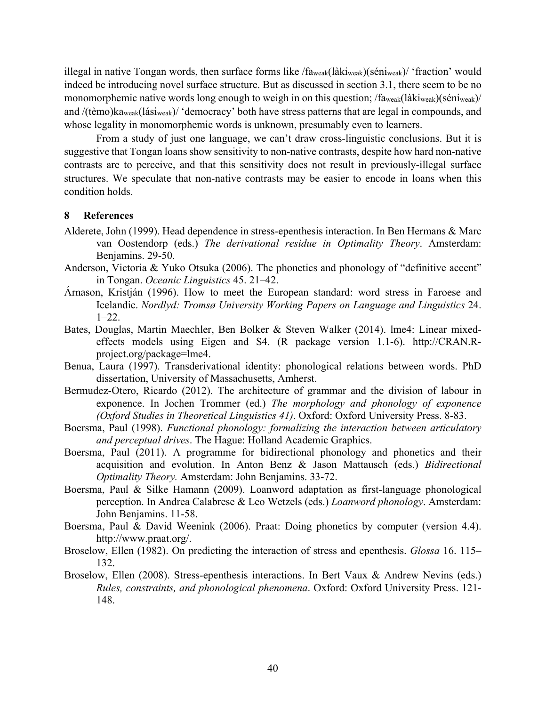illegal in native Tongan words, then surface forms like /faweak(làkiweak)(séniweak)/ 'fraction' would indeed be introducing novel surface structure. But as discussed in section 3.1, there seem to be no monomorphemic native words long enough to weigh in on this question; /faweak(làkiweak)(séniweak)/ and /(tèmo)kaweak(lásiweak)/ 'democracy' both have stress patterns that are legal in compounds, and whose legality in monomorphemic words is unknown, presumably even to learners.

 From a study of just one language, we can't draw cross-linguistic conclusions. But it is suggestive that Tongan loans show sensitivity to non-native contrasts, despite how hard non-native contrasts are to perceive, and that this sensitivity does not result in previously-illegal surface structures. We speculate that non-native contrasts may be easier to encode in loans when this condition holds.

#### **8 References**

- Alderete, John (1999). Head dependence in stress-epenthesis interaction. In Ben Hermans & Marc van Oostendorp (eds.) *The derivational residue in Optimality Theory*. Amsterdam: Benjamins. 29-50.
- Anderson, Victoria & Yuko Otsuka (2006). The phonetics and phonology of "definitive accent" in Tongan. *Oceanic Linguistics* 45. 21–42.
- Árnason, Kristján (1996). How to meet the European standard: word stress in Faroese and Icelandic. *Nordlyd: Tromsø University Working Papers on Language and Linguistics* 24.  $1 - 22$ .
- Bates, Douglas, Martin Maechler, Ben Bolker & Steven Walker (2014). lme4: Linear mixedeffects models using Eigen and S4. (R package version 1.1-6). http://CRAN.Rproject.org/package=lme4.
- Benua, Laura (1997). Transderivational identity: phonological relations between words. PhD dissertation, University of Massachusetts, Amherst.
- Bermudez-Otero, Ricardo (2012). The architecture of grammar and the division of labour in exponence. In Jochen Trommer (ed.) *The morphology and phonology of exponence (Oxford Studies in Theoretical Linguistics 41)*. Oxford: Oxford University Press. 8-83.
- Boersma, Paul (1998). *Functional phonology: formalizing the interaction between articulatory and perceptual drives*. The Hague: Holland Academic Graphics.
- Boersma, Paul (2011). A programme for bidirectional phonology and phonetics and their acquisition and evolution. In Anton Benz & Jason Mattausch (eds.) *Bidirectional Optimality Theory.* Amsterdam: John Benjamins. 33-72.
- Boersma, Paul & Silke Hamann (2009). Loanword adaptation as first-language phonological perception. In Andrea Calabrese & Leo Wetzels (eds.) *Loanword phonology*. Amsterdam: John Benjamins. 11-58.
- Boersma, Paul & David Weenink (2006). Praat: Doing phonetics by computer (version 4.4). http://www.praat.org/.
- Broselow, Ellen (1982). On predicting the interaction of stress and epenthesis. *Glossa* 16. 115– 132.
- Broselow, Ellen (2008). Stress-epenthesis interactions. In Bert Vaux & Andrew Nevins (eds.) *Rules, constraints, and phonological phenomena*. Oxford: Oxford University Press. 121- 148.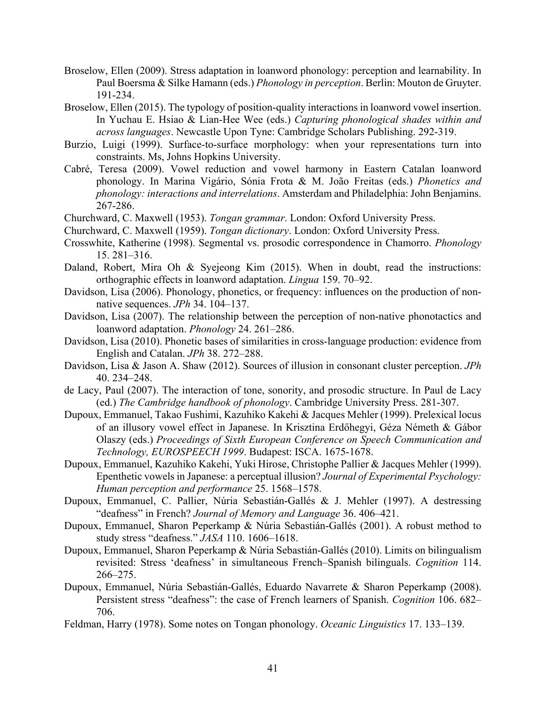- Broselow, Ellen (2009). Stress adaptation in loanword phonology: perception and learnability. In Paul Boersma & Silke Hamann (eds.) *Phonology in perception*. Berlin: Mouton de Gruyter. 191-234.
- Broselow, Ellen (2015). The typology of position-quality interactions in loanword vowel insertion. In Yuchau E. Hsiao & Lian-Hee Wee (eds.) *Capturing phonological shades within and across languages*. Newcastle Upon Tyne: Cambridge Scholars Publishing. 292-319.
- Burzio, Luigi (1999). Surface-to-surface morphology: when your representations turn into constraints. Ms, Johns Hopkins University.
- Cabré, Teresa (2009). Vowel reduction and vowel harmony in Eastern Catalan loanword phonology. In Marina Vigário, Sónia Frota & M. João Freitas (eds.) *Phonetics and phonology: interactions and interrelations*. Amsterdam and Philadelphia: John Benjamins. 267-286.
- Churchward, C. Maxwell (1953). *Tongan grammar*. London: Oxford University Press.
- Churchward, C. Maxwell (1959). *Tongan dictionary*. London: Oxford University Press.
- Crosswhite, Katherine (1998). Segmental vs. prosodic correspondence in Chamorro. *Phonology* 15. 281–316.
- Daland, Robert, Mira Oh & Syejeong Kim (2015). When in doubt, read the instructions: orthographic effects in loanword adaptation. *Lingua* 159. 70–92.
- Davidson, Lisa (2006). Phonology, phonetics, or frequency: influences on the production of nonnative sequences. *JPh* 34. 104–137.
- Davidson, Lisa (2007). The relationship between the perception of non-native phonotactics and loanword adaptation. *Phonology* 24. 261–286.
- Davidson, Lisa (2010). Phonetic bases of similarities in cross-language production: evidence from English and Catalan. *JPh* 38. 272–288.
- Davidson, Lisa & Jason A. Shaw (2012). Sources of illusion in consonant cluster perception. *JPh* 40. 234–248.
- de Lacy, Paul (2007). The interaction of tone, sonority, and prosodic structure. In Paul de Lacy (ed.) *The Cambridge handbook of phonology*. Cambridge University Press. 281-307.
- Dupoux, Emmanuel, Takao Fushimi, Kazuhiko Kakehi & Jacques Mehler (1999). Prelexical locus of an illusory vowel effect in Japanese. In Krisztina Erdőhegyi, Géza Németh & Gábor Olaszy (eds.) *Proceedings of Sixth European Conference on Speech Communication and Technology, EUROSPEECH 1999*. Budapest: ISCA. 1675-1678.
- Dupoux, Emmanuel, Kazuhiko Kakehi, Yuki Hirose, Christophe Pallier & Jacques Mehler (1999). Epenthetic vowels in Japanese: a perceptual illusion? *Journal of Experimental Psychology: Human perception and performance* 25. 1568–1578.
- Dupoux, Emmanuel, C. Pallier, Núria Sebastián-Gallés & J. Mehler (1997). A destressing "deafness" in French? *Journal of Memory and Language* 36. 406–421.
- Dupoux, Emmanuel, Sharon Peperkamp & Núria Sebastián-Gallés (2001). A robust method to study stress "deafness." *JASA* 110. 1606–1618.
- Dupoux, Emmanuel, Sharon Peperkamp & Núria Sebastián-Gallés (2010). Limits on bilingualism revisited: Stress 'deafness' in simultaneous French–Spanish bilinguals. *Cognition* 114. 266–275.
- Dupoux, Emmanuel, Núria Sebastián-Gallés, Eduardo Navarrete & Sharon Peperkamp (2008). Persistent stress "deafness": the case of French learners of Spanish. *Cognition* 106. 682– 706.
- Feldman, Harry (1978). Some notes on Tongan phonology. *Oceanic Linguistics* 17. 133–139.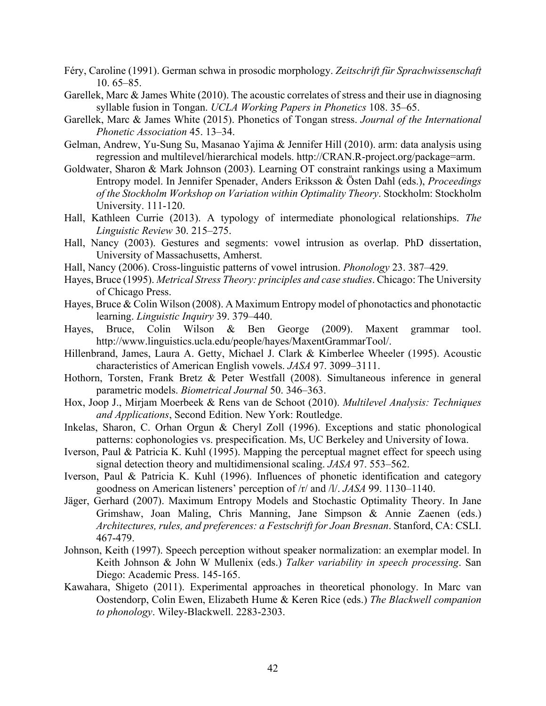- Féry, Caroline (1991). German schwa in prosodic morphology. *Zeitschrift für Sprachwissenschaft*  10. 65–85.
- Garellek, Marc & James White (2010). The acoustic correlates of stress and their use in diagnosing syllable fusion in Tongan. *UCLA Working Papers in Phonetics* 108. 35–65.
- Garellek, Marc & James White (2015). Phonetics of Tongan stress. *Journal of the International Phonetic Association* 45. 13–34.
- Gelman, Andrew, Yu-Sung Su, Masanao Yajima & Jennifer Hill (2010). arm: data analysis using regression and multilevel/hierarchical models. http://CRAN.R-project.org/package=arm.
- Goldwater, Sharon & Mark Johnson (2003). Learning OT constraint rankings using a Maximum Entropy model. In Jennifer Spenader, Anders Eriksson & Östen Dahl (eds.), *Proceedings of the Stockholm Workshop on Variation within Optimality Theory*. Stockholm: Stockholm University. 111-120.
- Hall, Kathleen Currie (2013). A typology of intermediate phonological relationships. *The Linguistic Review* 30. 215–275.
- Hall, Nancy (2003). Gestures and segments: vowel intrusion as overlap. PhD dissertation, University of Massachusetts, Amherst.
- Hall, Nancy (2006). Cross-linguistic patterns of vowel intrusion. *Phonology* 23. 387–429.
- Hayes, Bruce (1995). *Metrical Stress Theory: principles and case studies*. Chicago: The University of Chicago Press.
- Hayes, Bruce & Colin Wilson (2008). A Maximum Entropy model of phonotactics and phonotactic learning. *Linguistic Inquiry* 39. 379–440.
- Hayes, Bruce, Colin Wilson & Ben George (2009). Maxent grammar tool. http://www.linguistics.ucla.edu/people/hayes/MaxentGrammarTool/.
- Hillenbrand, James, Laura A. Getty, Michael J. Clark & Kimberlee Wheeler (1995). Acoustic characteristics of American English vowels. *JASA* 97. 3099–3111.
- Hothorn, Torsten, Frank Bretz & Peter Westfall (2008). Simultaneous inference in general parametric models. *Biometrical Journal* 50. 346–363.
- Hox, Joop J., Mirjam Moerbeek & Rens van de Schoot (2010). *Multilevel Analysis: Techniques and Applications*, Second Edition. New York: Routledge.
- Inkelas, Sharon, C. Orhan Orgun & Cheryl Zoll (1996). Exceptions and static phonological patterns: cophonologies vs. prespecification. Ms, UC Berkeley and University of Iowa.
- Iverson, Paul & Patricia K. Kuhl (1995). Mapping the perceptual magnet effect for speech using signal detection theory and multidimensional scaling. *JASA* 97. 553–562.
- Iverson, Paul & Patricia K. Kuhl (1996). Influences of phonetic identification and category goodness on American listeners' perception of /r/ and /l/. *JASA* 99. 1130–1140.
- Jäger, Gerhard (2007). Maximum Entropy Models and Stochastic Optimality Theory. In Jane Grimshaw, Joan Maling, Chris Manning, Jane Simpson & Annie Zaenen (eds.) *Architectures, rules, and preferences: a Festschrift for Joan Bresnan*. Stanford, CA: CSLI. 467-479.
- Johnson, Keith (1997). Speech perception without speaker normalization: an exemplar model. In Keith Johnson & John W Mullenix (eds.) *Talker variability in speech processing*. San Diego: Academic Press. 145-165.
- Kawahara, Shigeto (2011). Experimental approaches in theoretical phonology. In Marc van Oostendorp, Colin Ewen, Elizabeth Hume & Keren Rice (eds.) *The Blackwell companion to phonology*. Wiley-Blackwell. 2283-2303.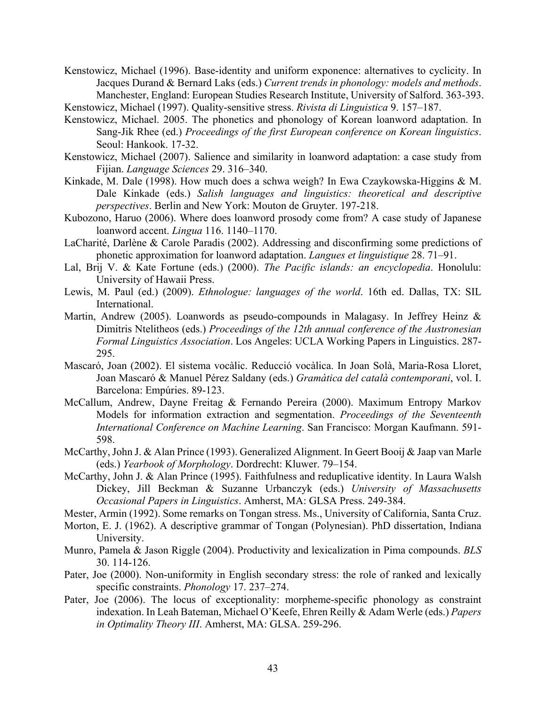Kenstowicz, Michael (1996). Base-identity and uniform exponence: alternatives to cyclicity. In Jacques Durand & Bernard Laks (eds.) *Current trends in phonology: models and methods*. Manchester, England: European Studies Research Institute, University of Salford. 363-393.

Kenstowicz, Michael (1997). Quality-sensitive stress. *Rivista di Linguistica* 9. 157–187.

- Kenstowicz, Michael. 2005. The phonetics and phonology of Korean loanword adaptation. In Sang-Jik Rhee (ed.) *Proceedings of the first European conference on Korean linguistics*. Seoul: Hankook. 17-32.
- Kenstowicz, Michael (2007). Salience and similarity in loanword adaptation: a case study from Fijian. *Language Sciences* 29. 316–340.
- Kinkade, M. Dale (1998). How much does a schwa weigh? In Ewa Czaykowska-Higgins & M. Dale Kinkade (eds.) *Salish languages and linguistics: theoretical and descriptive perspectives*. Berlin and New York: Mouton de Gruyter. 197-218.
- Kubozono, Haruo (2006). Where does loanword prosody come from? A case study of Japanese loanword accent. *Lingua* 116. 1140–1170.
- LaCharité, Darlène & Carole Paradis (2002). Addressing and disconfirming some predictions of phonetic approximation for loanword adaptation. *Langues et linguistique* 28. 71–91.
- Lal, Brij V. & Kate Fortune (eds.) (2000). *The Pacific islands: an encyclopedia*. Honolulu: University of Hawaii Press.
- Lewis, M. Paul (ed.) (2009). *Ethnologue: languages of the world*. 16th ed. Dallas, TX: SIL International.
- Martin, Andrew (2005). Loanwords as pseudo-compounds in Malagasy. In Jeffrey Heinz  $\&$ Dimitris Ntelitheos (eds.) *Proceedings of the 12th annual conference of the Austronesian Formal Linguistics Association*. Los Angeles: UCLA Working Papers in Linguistics. 287- 295.
- Mascaró, Joan (2002). El sistema vocàlic. Reducció vocàlica. In Joan Solà, Maria-Rosa Lloret, Joan Mascaró & Manuel Pérez Saldany (eds.) *Gramàtica del català contemporani*, vol. I. Barcelona: Empúries. 89-123.
- McCallum, Andrew, Dayne Freitag & Fernando Pereira (2000). Maximum Entropy Markov Models for information extraction and segmentation. *Proceedings of the Seventeenth International Conference on Machine Learning*. San Francisco: Morgan Kaufmann. 591- 598.
- McCarthy, John J. & Alan Prince (1993). Generalized Alignment. In Geert Booij & Jaap van Marle (eds.) *Yearbook of Morphology*. Dordrecht: Kluwer. 79–154.
- McCarthy, John J. & Alan Prince (1995). Faithfulness and reduplicative identity. In Laura Walsh Dickey, Jill Beckman & Suzanne Urbanczyk (eds.) *University of Massachusetts Occasional Papers in Linguistics*. Amherst, MA: GLSA Press. 249-384.
- Mester, Armin (1992). Some remarks on Tongan stress. Ms., University of California, Santa Cruz.
- Morton, E. J. (1962). A descriptive grammar of Tongan (Polynesian). PhD dissertation, Indiana University.
- Munro, Pamela & Jason Riggle (2004). Productivity and lexicalization in Pima compounds. *BLS* 30. 114-126.
- Pater, Joe (2000). Non-uniformity in English secondary stress: the role of ranked and lexically specific constraints. *Phonology* 17. 237–274.
- Pater, Joe (2006). The locus of exceptionality: morpheme-specific phonology as constraint indexation. In Leah Bateman, Michael O'Keefe, Ehren Reilly & Adam Werle (eds.) *Papers in Optimality Theory III*. Amherst, MA: GLSA. 259-296.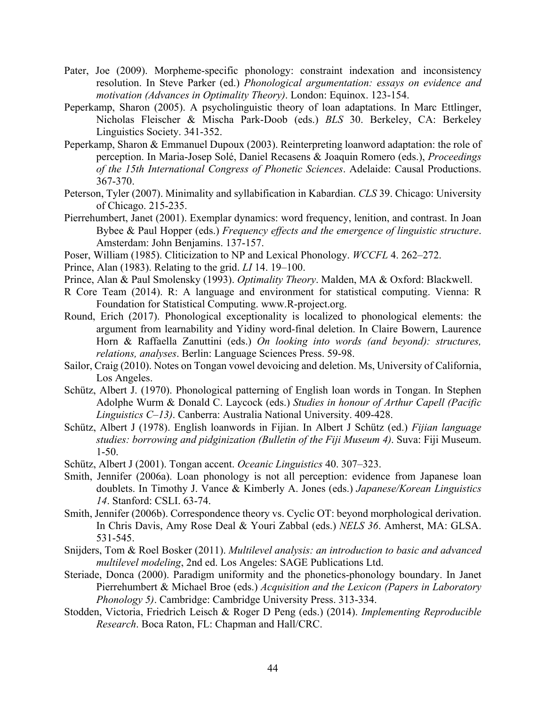- Pater, Joe (2009). Morpheme-specific phonology: constraint indexation and inconsistency resolution. In Steve Parker (ed.) *Phonological argumentation: essays on evidence and motivation (Advances in Optimality Theory)*. London: Equinox. 123-154.
- Peperkamp, Sharon (2005). A psycholinguistic theory of loan adaptations. In Marc Ettlinger, Nicholas Fleischer & Mischa Park-Doob (eds.) *BLS* 30. Berkeley, CA: Berkeley Linguistics Society. 341-352.
- Peperkamp, Sharon & Emmanuel Dupoux (2003). Reinterpreting loanword adaptation: the role of perception. In Maria-Josep Solé, Daniel Recasens & Joaquin Romero (eds.), *Proceedings of the 15th International Congress of Phonetic Sciences*. Adelaide: Causal Productions. 367-370.
- Peterson, Tyler (2007). Minimality and syllabification in Kabardian. *CLS* 39. Chicago: University of Chicago. 215-235.
- Pierrehumbert, Janet (2001). Exemplar dynamics: word frequency, lenition, and contrast. In Joan Bybee & Paul Hopper (eds.) *Frequency effects and the emergence of linguistic structure*. Amsterdam: John Benjamins. 137-157.
- Poser, William (1985). Cliticization to NP and Lexical Phonology. *WCCFL* 4. 262–272.
- Prince, Alan (1983). Relating to the grid. *LI* 14. 19–100.
- Prince, Alan & Paul Smolensky (1993). *Optimality Theory*. Malden, MA & Oxford: Blackwell.
- R Core Team (2014). R: A language and environment for statistical computing. Vienna: R Foundation for Statistical Computing. www.R-project.org.
- Round, Erich (2017). Phonological exceptionality is localized to phonological elements: the argument from learnability and Yidiny word-final deletion. In Claire Bowern, Laurence Horn & Raffaella Zanuttini (eds.) *On looking into words (and beyond): structures, relations, analyses*. Berlin: Language Sciences Press. 59-98.
- Sailor, Craig (2010). Notes on Tongan vowel devoicing and deletion. Ms, University of California, Los Angeles.
- Schütz, Albert J. (1970). Phonological patterning of English loan words in Tongan. In Stephen Adolphe Wurm & Donald C. Laycock (eds.) *Studies in honour of Arthur Capell (Pacific Linguistics C–13)*. Canberra: Australia National University. 409-428.
- Schütz, Albert J (1978). English loanwords in Fijian. In Albert J Schütz (ed.) *Fijian language studies: borrowing and pidginization (Bulletin of the Fiji Museum 4)*. Suva: Fiji Museum. 1-50.
- Schütz, Albert J (2001). Tongan accent. *Oceanic Linguistics* 40. 307–323.
- Smith, Jennifer (2006a). Loan phonology is not all perception: evidence from Japanese loan doublets. In Timothy J. Vance & Kimberly A. Jones (eds.) *Japanese/Korean Linguistics 14*. Stanford: CSLI. 63-74.
- Smith, Jennifer (2006b). Correspondence theory vs. Cyclic OT: beyond morphological derivation. In Chris Davis, Amy Rose Deal & Youri Zabbal (eds.) *NELS 36*. Amherst, MA: GLSA. 531-545.
- Snijders, Tom & Roel Bosker (2011). *Multilevel analysis: an introduction to basic and advanced multilevel modeling*, 2nd ed. Los Angeles: SAGE Publications Ltd.
- Steriade, Donca (2000). Paradigm uniformity and the phonetics-phonology boundary. In Janet Pierrehumbert & Michael Broe (eds.) *Acquisition and the Lexicon (Papers in Laboratory Phonology 5)*. Cambridge: Cambridge University Press. 313-334.
- Stodden, Victoria, Friedrich Leisch & Roger D Peng (eds.) (2014). *Implementing Reproducible Research*. Boca Raton, FL: Chapman and Hall/CRC.